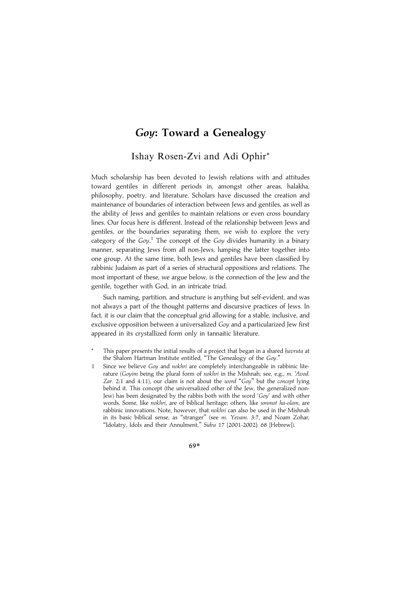Ishay Rosen-Zvi and Adi Ophir\*

Much scholarship has been devoted to Jewish relations with and attitudes toward gentiles in different periods in, amongst other areas, halakha, philosophy, poetry, and literature. Scholars have discussed the creation and maintenance of boundaries of interaction between Jews and gentiles, as well as the ability of Jews and gentiles to maintain relations or even cross boundary lines. Our focus here is different. Instead of the relationship between Jews and gentiles, or the boundaries separating them, we wish to explore the very category of the  $Goy$ .<sup>1</sup> The concept of the  $Goy$  divides humanity in a binary manner, separating Jews from all non-Jews, lumping the latter together into one group. At the same time, both Jews and gentiles have been classified by rabbinic Judaism as part of a series of structural oppositions and relations. The most important of these, we argue below, is the connection of the Jew and the gentile, together with God, in an intricate triad.

Such naming, partition, and structure is anything but self-evident, and was not always a part of the thought patterns and discursive practices of Jews. In fact, it is our claim that the conceptual grid allowing for a stable, inclusive, and exclusive opposition between a universalized Goy and a particularized Jew first appeared in its crystallized form only in tannaitic literature.

- This paper presents the initial results of a project that began in a shared havruta at the Shalom Hartman Institute entitled, "The Genealogy of the Goy."
- 1 Since we believe Goy and nokhri are completely interchangeable in rabbinic literature (Govim being the plural form of nokhri in the Mishnah; see, e.g., m. 'Avod. Zar. 2:1 and 4:11), our claim is not about the word "Goy" but the concept lying behind it. This concept (the universalized other of the Jew, the generalized non-Jew) has been designated by the rabbis both with the word 'Goy' and with other words. Some, like nokhri, are of biblical heritage; others, like ummot ha-olam, are rabbinic innovations. Note, however, that nokhri can also be used in the Mishnah in its basic biblical sense, as "stranger" (see m. Yevam. 3:7, and Noam Zohar, "Idolatry, Idols and their Annulment," Sidra 17 [2001-2002]: 68 [Hebrew]).

69\*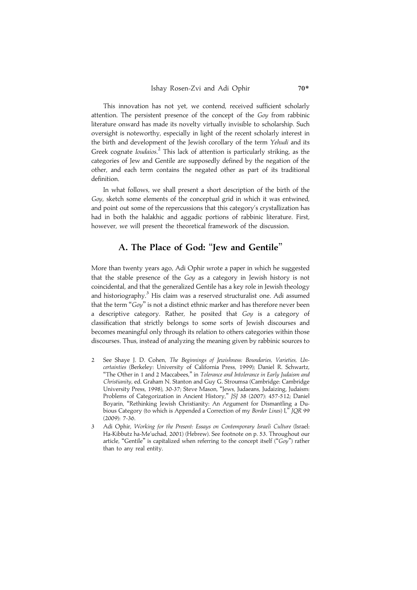This innovation has not yet, we contend, received sufficient scholarly attention. The persistent presence of the concept of the Goy from rabbinic literature onward has made its novelty virtually invisible to scholarship. Such oversight is noteworthy, especially in light of the recent scholarly interest in the birth and development of the Jewish corollary of the term Yehudi and its Greek cognate *Ioudaios*.<sup>2</sup> This lack of attention is particularly striking, as the categories of Jew and Gentile are supposedly defined by the negation of the other, and each term contains the negated other as part of its traditional definition.

In what follows, we shall present a short description of the birth of the Goy, sketch some elements of the conceptual grid in which it was entwined, and point out some of the repercussions that this category's crystallization has had in both the halakhic and aggadic portions of rabbinic literature. First, however, we will present the theoretical framework of the discussion.

## A. The Place of God: ''Jew and Gentile''

More than twenty years ago, Adi Ophir wrote a paper in which he suggested that the stable presence of the Goy as a category in Jewish history is not coincidental, and that the generalized Gentile has a key role in Jewish theology and historiography.<sup>3</sup> His claim was a reserved structuralist one. Adi assumed that the term " $Gov$ " is not a distinct ethnic marker and has therefore never been a descriptive category. Rather, he posited that Goy is a category of classification that strictly belongs to some sorts of Jewish discourses and becomes meaningful only through its relation to others categories within those discourses. Thus, instead of analyzing the meaning given by rabbinic sources to

- 2 See Shaye J. D. Cohen, The Beginnings of Jewishness: Boundaries, Varieties, Uncertainties (Berkeley: University of California Press, 1999); Daniel R. Schwartz, "The Other in 1 and 2 Maccabees," in Tolerance and Intolerance in Early Judaism and Christianity, ed. Graham N. Stanton and Guy G. Stroumsa (Cambridge: Cambridge University Press, 1998), 30-37; Steve Mason, ''Jews, Judaeans, Judaizing, Judaism: Problems of Categorization in Ancient History," [S] 38 (2007): 457-512; Daniel Boyarin, "Rethinking Jewish Christianity: An Argument for Dismantling a Dubious Category (to which is Appended a Correction of my Border Lines) I," JOR 99 (2009): 7-36.
- 3 Adi Ophir, Working for the Present: Essays on Contemporary Israeli Culture (Israel: Ha-Kibbutz ha-Me'uchad, 2001) (Hebrew). See footnote on p. 53. Throughout our article, "Gentile" is capitalized when referring to the concept itself (" $Goy$ ") rather than to any real entity.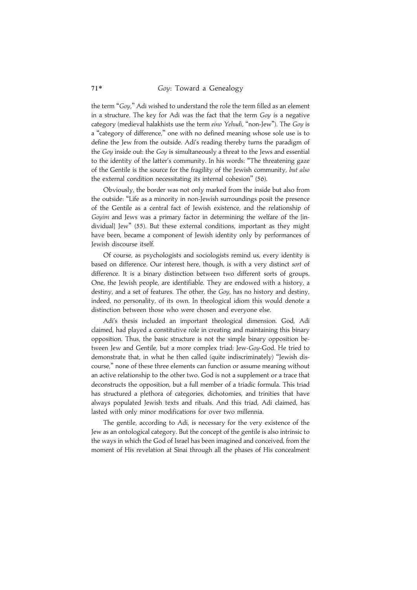the term "Gov," Adi wished to understand the role the term filled as an element in a structure. The key for Adi was the fact that the term Goy is a negative category (medieval halakhists use the term eino Yehudi, "non-Jew"). The Goy is a ''category of difference,'' one with no defined meaning whose sole use is to define the Jew from the outside. Adi's reading thereby turns the paradigm of the Goy inside out: the Goy is simultaneously a threat to the Jews and essential to the identity of the latter's community. In his words: ''The threatening gaze of the Gentile is the source for the fragility of the Jewish community, but also the external condition necessitating its internal cohesion'' (56).

Obviously, the border was not only marked from the inside but also from the outside: ''Life as a minority in non-Jewish surroundings posit the presence of the Gentile as a central fact of Jewish existence, and the relationship of Goyim and Jews was a primary factor in determining the welfare of the [individual] Jew'' (55). But these external conditions, important as they might have been, became a component of Jewish identity only by performances of Jewish discourse itself.

Of course, as psychologists and sociologists remind us, every identity is based on difference. Our interest here, though, is with a very distinct sort of difference. It is a binary distinction between two different sorts of groups. One, the Jewish people, are identifiable. They are endowed with a history, a destiny, and a set of features. The other, the Goy, has no history and destiny, indeed, no personality, of its own. In theological idiom this would denote a distinction between those who were chosen and everyone else.

Adi's thesis included an important theological dimension. God, Adi claimed, had played a constitutive role in creating and maintaining this binary opposition. Thus, the basic structure is not the simple binary opposition between Jew and Gentile, but a more complex triad: Jew-Goy-God. He tried to demonstrate that, in what he then called (quite indiscriminately) ''Jewish discourse,'' none of these three elements can function or assume meaning without an active relationship to the other two. God is not a supplement or a trace that deconstructs the opposition, but a full member of a triadic formula. This triad has structured a plethora of categories, dichotomies, and trinities that have always populated Jewish texts and rituals. And this triad, Adi claimed, has lasted with only minor modifications for over two millennia.

The gentile, according to Adi, is necessary for the very existence of the Jew as an ontological category. But the concept of the gentile is also intrinsic to the ways in which the God of Israel has been imagined and conceived, from the moment of His revelation at Sinai through all the phases of His concealment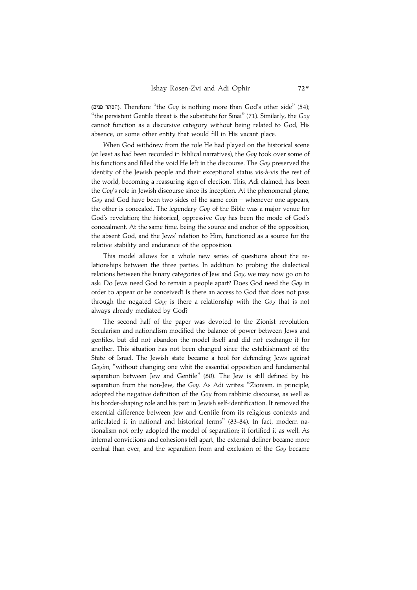הסתר פנים). Therefore "the Goy is nothing more than God's other side" (54); "the persistent Gentile threat is the substitute for Sinai" (71). Similarly, the  $Gov$ cannot function as a discursive category without being related to God, His absence, or some other entity that would fill in His vacant place.

When God withdrew from the role He had played on the historical scene (at least as had been recorded in biblical narratives), the Goy took over some of his functions and filled the void He left in the discourse. The Goy preserved the identity of the Jewish people and their exceptional status vis-à-vis the rest of the world, becoming a reassuring sign of election. This, Adi claimed, has been the Goy's role in Jewish discourse since its inception. At the phenomenal plane, Goy and God have been two sides of the same  $\text{coin}$  – whenever one appears, the other is concealed. The legendary Goy of the Bible was a major venue for God's revelation; the historical, oppressive Goy has been the mode of God's concealment. At the same time, being the source and anchor of the opposition, the absent God, and the Jews' relation to Him, functioned as a source for the relative stability and endurance of the opposition.

This model allows for a whole new series of questions about the relationships between the three parties. In addition to probing the dialectical relations between the binary categories of Jew and Goy, we may now go on to ask: Do Jews need God to remain a people apart? Does God need the Goy in order to appear or be conceived? Is there an access to God that does not pass through the negated Goy; is there a relationship with the Goy that is not always already mediated by God?

The second half of the paper was devoted to the Zionist revolution. Secularism and nationalism modified the balance of power between Jews and gentiles, but did not abandon the model itself and did not exchange it for another. This situation has not been changed since the establishment of the State of Israel. The Jewish state became a tool for defending Jews against Govim, "without changing one whit the essential opposition and fundamental separation between Jew and Gentile'' (80). The Jew is still defined by his separation from the non-Jew, the Goy. As Adi writes: "Zionism, in principle, adopted the negative definition of the Goy from rabbinic discourse, as well as his border-shaping role and his part in Jewish self-identification. It removed the essential difference between Jew and Gentile from its religious contexts and articulated it in national and historical terms'' (83-84). In fact, modern nationalism not only adopted the model of separation; it fortified it as well. As internal convictions and cohesions fell apart, the external definer became more central than ever, and the separation from and exclusion of the Goy became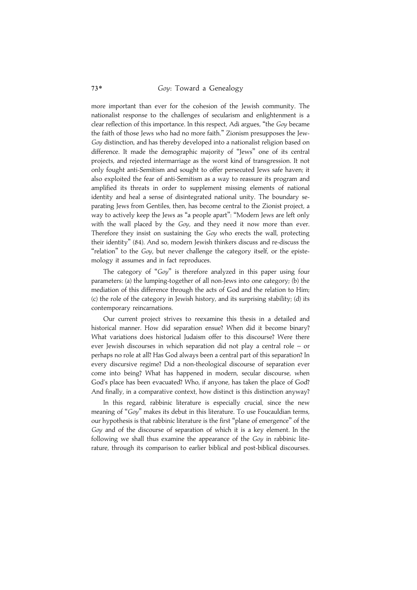more important than ever for the cohesion of the Jewish community. The nationalist response to the challenges of secularism and enlightenment is a clear reflection of this importance. In this respect, Adi argues, "the Goy became the faith of those Jews who had no more faith.'' Zionism presupposes the Jew-Goy distinction, and has thereby developed into a nationalist religion based on difference. It made the demographic majority of ''Jews'' one of its central projects, and rejected intermarriage as the worst kind of transgression. It not only fought anti-Semitism and sought to offer persecuted Jews safe haven; it also exploited the fear of anti-Semitism as a way to reassure its program and amplified its threats in order to supplement missing elements of national identity and heal a sense of disintegrated national unity. The boundary separating Jews from Gentiles, then, has become central to the Zionist project, a way to actively keep the Jews as ''a people apart'': ''Modern Jews are left only with the wall placed by the  $Goy$ , and they need it now more than ever. Therefore they insist on sustaining the Goy who erects the wall, protecting their identity'' (84). And so, modern Jewish thinkers discuss and re-discuss the "relation" to the  $Gov$ , but never challenge the category itself, or the epistemology it assumes and in fact reproduces.

The category of "Goy" is therefore analyzed in this paper using four parameters: (a) the lumping-together of all non-Jews into one category; (b) the mediation of this difference through the acts of God and the relation to Him; (c) the role of the category in Jewish history, and its surprising stability; (d) its contemporary reincarnations.

Our current project strives to reexamine this thesis in a detailed and historical manner. How did separation ensue? When did it become binary? What variations does historical Judaism offer to this discourse? Were there ever Jewish discourses in which separation did not play a central role – or perhaps no role at all? Has God always been a central part of this separation? In every discursive regime? Did a non-theological discourse of separation ever come into being? What has happened in modern, secular discourse, when God's place has been evacuated? Who, if anyone, has taken the place of God? And finally, in a comparative context, how distinct is this distinction anyway?

In this regard, rabbinic literature is especially crucial, since the new meaning of "Goy" makes its debut in this literature. To use Foucauldian terms, our hypothesis is that rabbinic literature is the first ''plane of emergence'' of the Goy and of the discourse of separation of which it is a key element. In the following we shall thus examine the appearance of the Goy in rabbinic literature, through its comparison to earlier biblical and post-biblical discourses.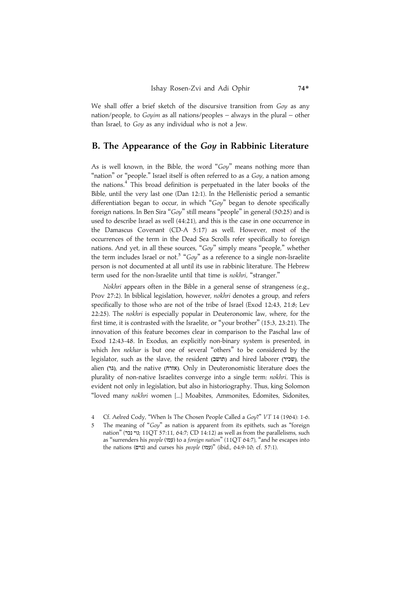We shall offer a brief sketch of the discursive transition from Goy as any nation/people, to Goyim as all nations/peoples – always in the plural – other than Israel, to Goy as any individual who is not a Jew.

### B. The Appearance of the Goy in Rabbinic Literature

As is well known, in the Bible, the word " $Gov$ " means nothing more than "nation" or "people." Israel itself is often referred to as a Goy, a nation among the nations.<sup>4</sup> This broad definition is perpetuated in the later books of the Bible, until the very last one (Dan 12:1). In the Hellenistic period a semantic differentiation began to occur, in which "Goy" began to denote specifically foreign nations. In Ben Sira " $Goy$ " still means "people" in general (50:25) and is used to describe Israel as well (44:21), and this is the case in one occurrence in the Damascus Covenant (CD-A 5:17) as well. However, most of the occurrences of the term in the Dead Sea Scrolls refer specifically to foreign nations. And yet, in all these sources, "Goy" simply means "people," whether the term includes Israel or not.<sup>5</sup> " $Gov$ " as a reference to a single non-Israelite person is not documented at all until its use in rabbinic literature. The Hebrew term used for the non-Israelite until that time is nokhri, ''stranger.''

Nokhri appears often in the Bible in a general sense of strangeness (e.g., Prov 27:2). In biblical legislation, however, nokhri denotes a group, and refers specifically to those who are not of the tribe of Israel (Exod 12:43, 21:8; Lev 22:25). The nokhri is especially popular in Deuteronomic law, where, for the first time, it is contrasted with the Israelite, or "your brother" (15:3, 23:21). The innovation of this feature becomes clear in comparison to the Paschal law of Exod 12:43-48. In Exodus, an explicitly non-binary system is presented, in which ben nekhar is but one of several ''others'' to be considered by the legislator, such as the slave, the resident (תושב) and hired laborer (שכיר), the alien (גר, and the native (גדה). Only in Deuteronomistic literature does the plurality of non-native Israelites converge into a single term: nokhri. This is evident not only in legislation, but also in historiography. Thus, king Solomon ''loved many nokhri women [...] Moabites, Ammonites, Edomites, Sidonites,

<sup>4</sup> Cf. Aelred Cody, "When Is The Chosen People Called a Goy?" VT 14 (1964): 1-6.

<sup>5</sup> The meaning of " $Gov$ " as nation is apparent from its epithets, such as "foreign nation" (גוי נכר; 11QT 57:11, 64:7; CD 14:12) as well as from the parallelisms, such as ''surrenders his people (GPT) to a foreign nation'' (11QT 64:7), ''and he escapes into the nations (גוים) and curses his people (עמון)" (ibid., 64:9-10; cf. 57:1).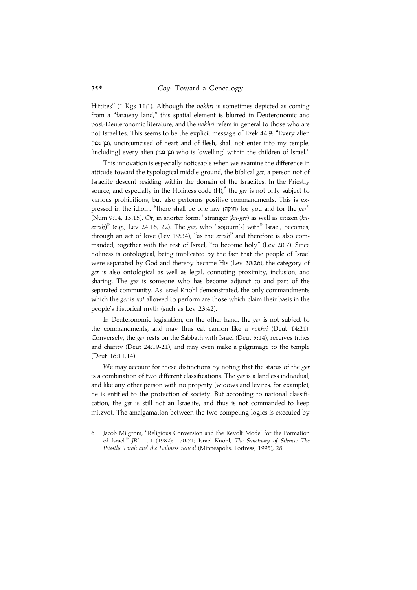Hittites" (1 Kgs 11:1). Although the *nokhri* is sometimes depicted as coming from a ''faraway land,'' this spatial element is blurred in Deuteronomic and post-Deuteronomic literature, and the nokhri refers in general to those who are not Israelites. This seems to be the explicit message of Ezek 44:9: ''Every alien (בן נכר), uncircumcised of heart and of flesh, shall not enter into my temple, [including] every alien (בן נכר) who is [dwelling] within the children of Israel."

This innovation is especially noticeable when we examine the difference in attitude toward the typological middle ground, the biblical ger, a person not of Israelite descent residing within the domain of the Israelites. In the Priestly source, and especially in the Holiness code  $(H)$ , the ger is not only subject to various prohibitions, but also performs positive commandments. This is expressed in the idiom, "there shall be one law (חוקה) for you and for the ger" (Num 9:14, 15:15). Or, in shorter form: ''stranger (ka-ger) as well as citizen (ka- $\chi$ ezrah)" (e.g., Lev 24:16, 22). The ger, who "sojourn[s] with" Israel, becomes, through an act of love (Lev 19:34), "as the *ezrah*" and therefore is also commanded, together with the rest of Israel, ''to become holy'' (Lev 20:7). Since holiness is ontological, being implicated by the fact that the people of Israel were separated by God and thereby became His (Lev 20:26), the category of ger is also ontological as well as legal, connoting proximity, inclusion, and sharing. The ger is someone who has become adjunct to and part of the separated community. As Israel Knohl demonstrated, the only commandments which the ger is not allowed to perform are those which claim their basis in the people's historical myth (such as Lev 23:42).

In Deuteronomic legislation, on the other hand, the ger is not subject to the commandments, and may thus eat carrion like a nokhri (Deut 14:21). Conversely, the ger rests on the Sabbath with Israel (Deut 5:14), receives tithes and charity (Deut 24:19-21), and may even make a pilgrimage to the temple (Deut 16:11,14).

We may account for these distinctions by noting that the status of the ger is a combination of two different classifications. The ger is a landless individual, and like any other person with no property (widows and levites, for example), he is entitled to the protection of society. But according to national classification, the ger is still not an Israelite, and thus is not commanded to keep mitzvot. The amalgamation between the two competing logics is executed by

<sup>6</sup> Jacob Milgrom, ''Religious Conversion and the Revolt Model for the Formation of Israel,'' JBL 101 (1982): 170-71; Israel Knohl, The Sanctuary of Silence: The Priestly Torah and the Holiness School (Minneapolis: Fortress, 1995), 28.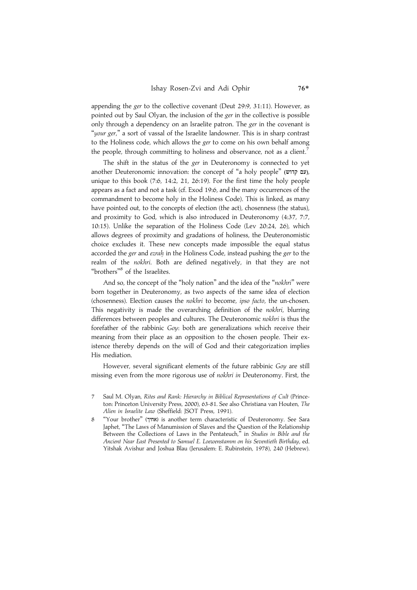appending the ger to the collective covenant (Deut 29:9, 31:11). However, as pointed out by Saul Olyan, the inclusion of the ger in the collective is possible only through a dependency on an Israelite patron. The ger in the covenant is "your ger," a sort of vassal of the Israelite landowner. This is in sharp contrast to the Holiness code, which allows the ger to come on his own behalf among the people, through committing to holiness and observance, not as a client.<sup>7</sup>

The shift in the status of the ger in Deuteronomy is connected to yet another Deuteronomic innovation: the concept of "a holy people" (עם קדוש), unique to this book (7:6, 14:2, 21, 26:19). For the first time the holy people appears as a fact and not a task (cf. Exod 19:6, and the many occurrences of the commandment to become holy in the Holiness Code). This is linked, as many have pointed out, to the concepts of election (the act), chosenness (the status), and proximity to God, which is also introduced in Deuteronomy (4:37, 7:7, 10:15). Unlike the separation of the Holiness Code (Lev 20:24, 26), which allows degrees of proximity and gradations of holiness, the Deuteronomistic choice excludes it. These new concepts made impossible the equal status accorded the ger and ezrah in the Holiness Code, instead pushing the ger to the realm of the nokhri. Both are defined negatively, in that they are not "brothers"<sup>8</sup> of the Israelites.

And so, the concept of the "holy nation" and the idea of the "nokhri" were born together in Deuteronomy, as two aspects of the same idea of election (chosenness). Election causes the nokhri to become, ipso facto, the un-chosen. This negativity is made the overarching definition of the nokhri, blurring differences between peoples and cultures. The Deuteronomic nokhri is thus the forefather of the rabbinic Goy: both are generalizations which receive their meaning from their place as an opposition to the chosen people. Their existence thereby depends on the will of God and their categorization implies His mediation.

However, several significant elements of the future rabbinic Goy are still missing even from the more rigorous use of nokhri in Deuteronomy. First, the

- 7 Saul M. Olyan, Rites and Rank: Hierarchy in Biblical Representations of Cult (Princeton: Princeton University Press, 2000), 63-81. See also Christiana van Houten, The Alien in Israelite Law (Sheffield: JSOT Press, 1991).
- 8 ''Your brother'' (LKIB) is another term characteristic of Deuteronomy. See Sara Japhet, ''The Laws of Manumission of Slaves and the Question of the Relationship Between the Collections of Laws in the Pentateuch," in Studies in Bible and the Ancient Near East Presented to Samuel E. Loewenstamm on his Seventieth Birthday, ed. Yitshak Avishur and Joshua Blau (Jerusalem: E. Rubinstein, 1978), 240 (Hebrew).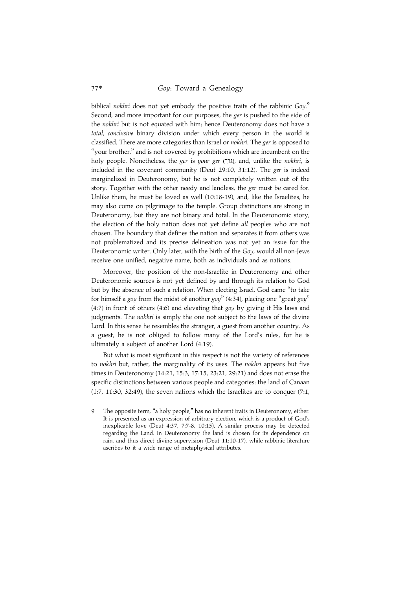biblical nokhri does not yet embody the positive traits of the rabbinic  $Goy$ . Second, and more important for our purposes, the ger is pushed to the side of the nokhri but is not equated with him; hence Deuteronomy does not have a total, conclusive binary division under which every person in the world is classified. There are more categories than Israel or nokhri. The ger is opposed to ''your brother,'' and is not covered by prohibitions which are incumbent on the holy people. Nonetheless, the ger is your ger (גוך), and, unlike the nokhri, is included in the covenant community (Deut 29:10, 31:12). The ger is indeed marginalized in Deuteronomy, but he is not completely written out of the story. Together with the other needy and landless, the ger must be cared for. Unlike them, he must be loved as well (10:18-19), and, like the Israelites, he may also come on pilgrimage to the temple. Group distinctions are strong in Deuteronomy, but they are not binary and total. In the Deuteronomic story, the election of the holy nation does not yet define all peoples who are not chosen. The boundary that defines the nation and separates it from others was not problematized and its precise delineation was not yet an issue for the Deuteronomic writer. Only later, with the birth of the Goy, would all non-Jews receive one unified, negative name, both as individuals and as nations.

Moreover, the position of the non-Israelite in Deuteronomy and other Deuteronomic sources is not yet defined by and through its relation to God but by the absence of such a relation. When electing Israel, God came ''to take for himself a goy from the midst of another goy"  $(4:34)$ , placing one "great goy" (4:7) in front of others (4:6) and elevating that goy by giving it His laws and judgments. The *nokhri* is simply the one not subject to the laws of the divine Lord. In this sense he resembles the stranger, a guest from another country. As a guest, he is not obliged to follow many of the Lord's rules, for he is ultimately a subject of another Lord (4:19).

But what is most significant in this respect is not the variety of references to nokhri but, rather, the marginality of its uses. The nokhri appears but five times in Deuteronomy (14:21, 15:3, 17:15, 23:21, 29:21) and does not erase the specific distinctions between various people and categories: the land of Canaan (1:7, 11:30, 32:49), the seven nations which the Israelites are to conquer (7:1,

The opposite term, "a holy people," has no inherent traits in Deuteronomy, either. It is presented as an expression of arbitrary election, which is a product of God's inexplicable love (Deut 4:37, 7:7-8, 10:15). A similar process may be detected regarding the Land. In Deuteronomy the land is chosen for its dependence on rain, and thus direct divine supervision (Deut 11:10-17), while rabbinic literature ascribes to it a wide range of metaphysical attributes.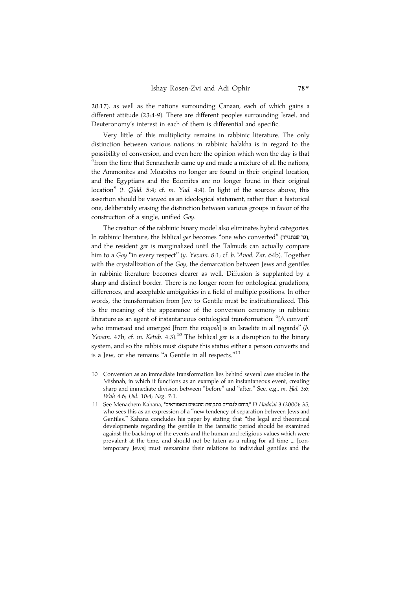20:17), as well as the nations surrounding Canaan, each of which gains a different attitude (23:4-9). There are different peoples surrounding Israel, and Deuteronomy's interest in each of them is differential and specific.

Very little of this multiplicity remains in rabbinic literature. The only distinction between various nations in rabbinic halakha is in regard to the possibility of conversion, and even here the opinion which won the day is that ''from the time that Sennacherib came up and made a mixture of all the nations, the Ammonites and Moabites no longer are found in their original location, and the Egyptians and the Edomites are no longer found in their original location'' (t. Qidd. 5:4; cf. m. Yad. 4:4). In light of the sources above, this assertion should be viewed as an ideological statement, rather than a historical one, deliberately erasing the distinction between various groups in favor of the construction of a single, unified Goy.

The creation of the rabbinic binary model also eliminates hybrid categories. In rabbinic literature, the biblical ger becomes "one who converted" (גר שנתגייר), and the resident ger is marginalized until the Talmuds can actually compare him to a Goy ''in every respect'' (y. Yevam. 8:1; cf. b. 'Avod. Zar. 64b). Together with the crystallization of the Goy, the demarcation between Jews and gentiles in rabbinic literature becomes clearer as well. Diffusion is supplanted by a sharp and distinct border. There is no longer room for ontological gradations, differences, and acceptable ambiguities in a field of multiple positions. In other words, the transformation from Jew to Gentile must be institutionalized. This is the meaning of the appearance of the conversion ceremony in rabbinic literature as an agent of instantaneous ontological transformation: ''[A convert] who immersed and emerged [from the *miqveh*] is an Israelite in all regards" (b. Yevam. 47b; cf. m. Ketub. 4:3).<sup>10</sup> The biblical ger is a disruption to the binary system, and so the rabbis must dispute this status: either a person converts and is a Jew, or she remains "a Gentile in all respects."<sup>11</sup>

- 10 Conversion as an immediate transformation lies behind several case studies in the Mishnah, in which it functions as an example of an instantaneous event, creating sharp and immediate division between "before" and "after." See, e.g., m. Hal. 3:6; Pe'ah 4:6; Hul. 10:4; Neg. 7:1.
- 11 See Menachem Kahana, "היחס לנכרים בתקופת התנאים והאמוראים, "Et Hada'at 3 (2000): 35, who sees this as an expression of a "new tendency of separation between Jews and Gentiles.'' Kahana concludes his paper by stating that ''the legal and theoretical developments regarding the gentile in the tannaitic period should be examined against the backdrop of the events and the human and religious values which were prevalent at the time, and should not be taken as a ruling for all time ... [contemporary Jews] must reexamine their relations to individual gentiles and the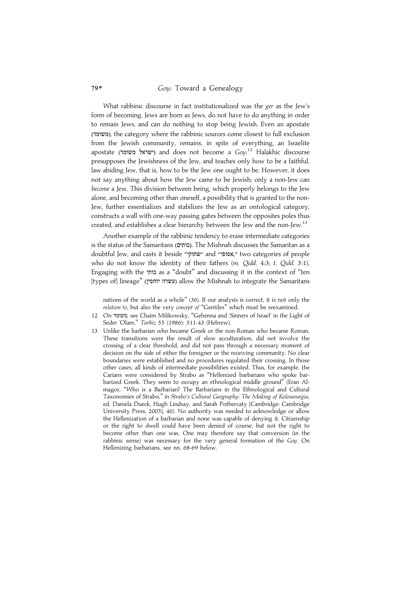What rabbinic discourse in fact institutionalized was the ger as the Jew's form of becoming. Jews are born as Jews, do not have to do anything in order to remain Jews, and can do nothing to stop being Jewish. Even an apostate (ªø), the category where the rabbinic sources come closest to full exclusion from the Jewish community, remains, in spite of everything, an Israelite apostate (ישראל משומד) and does not become a  $Goy$ .<sup>12</sup> Halakhic discourse presupposes the Jewishness of the Jew, and teaches only how to be a faithful, law abiding Jew, that is, how to be the Jew one ought to be. However, it does not say anything about how the Jew came to be Jewish; only a non-Jew can become a Jew. This division between being, which properly belongs to the Jew alone, and becoming other than oneself, a possibility that is granted to the non-Jew, further essentializes and stabilizes the Jew as an ontological category, constructs a wall with one-way passing gates between the opposites poles thus created, and establishes a clear hierarchy between the Jew and the non-Jew.<sup>13</sup>

Another example of the rabbinic tendency to erase intermediate categories is the status of the Samaritans (<mark>כותים)</mark>. The Mishnah discusses the Samaritan as a doubtful Jew, and casts it beside "שתוקי" and "שתוקי" two categories of people who do not know the identity of their fathers (m. Qidd. 4:3; t. Qidd. 5:1). Engaging with the כותי as a "doubt" and discussing it in the context of "ten [types of] lineage" (עשרה יוחסין) allow the Mishnah to integrate the Samaritans

nations of the world as a whole'' (36). If our analysis is correct, it is not only the relation to, but also the very concept of "Gentiles" which must be reexamined.

- 12 On משומד, see Chaim Milikowsky, "Gehenna and 'Sinners of Israel' in the Light of Seder 'Olam,'' Tarbiz 55 (1986): 311-43 (Hebrew).
- 13 Unlike the barbarian who became Greek or the non-Roman who became Roman. These transitions were the result of slow acculturation, did not involve the crossing of a clear threshold, and did not pass through a necessary moment of decision on the side of either the foreigner or the receiving community. No clear boundaries were established and no procedures regulated their crossing. In those other cases, all kinds of intermediate possibilities existed. Thus, for example, the Carians were considered by Strabo as ''Hellenized barbarians who spoke barbarized Greek. They seem to occupy an ethnological middle ground'' (Eran Almagor, ''Who is a Barbarian? The Barbarians in the Ethnological and Cultural Taxonomies of Strabo,'' in Strabo's Cultural Geography: The Making of Kolossourgia, ed. Daniela Dueck, Hugh Lindsay, and Sarah Pothercaty [Cambridge: Cambridge University Press, 2005], 46). No authority was needed to acknowledge or allow the Hellenization of a barbarian and none was capable of denying it. Citizenship or the right to dwell could have been denied of course, but not the right to become other than one was. One may therefore say that conversion (in the rabbinic sense) was necessary for the very general formation of the Goy. On Hellenizing barbarians, see nn. 68-69 below.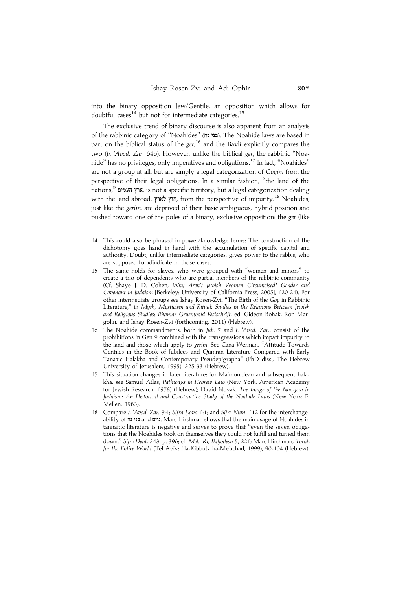into the binary opposition Jew/Gentile, an opposition which allows for doubtful cases<sup>14</sup> but not for intermediate categories.<sup>15</sup>

The exclusive trend of binary discourse is also apparent from an analysis of the rabbinic category of "Noahides" (בני נח). The Noahide laws are based in part on the biblical status of the *ger*,<sup>16</sup> and the Bavli explicitly compares the two (b. 'Avod. Zar. 64b). However, unlike the biblical ger, the rabbinic ''Noahide" has no privileges, only imperatives and obligations.<sup>17</sup> In fact, "Noahides" are not a group at all, but are simply a legal categorization of Goyim from the perspective of their legal obligations. In a similar fashion, ''the land of the nations," ארץ העמים, is not a specific territory, but a legal categorization dealing with the land abroad, חוץ לארץ, from the perspective of impurity.<sup>18</sup> Noahides, just like the *gerim*, are deprived of their basic ambiguous, hybrid position and pushed toward one of the poles of a binary, exclusive opposition: the ger (like

- 14 This could also be phrased in power/knowledge terms: The construction of the dichotomy goes hand in hand with the accumulation of specific capital and authority. Doubt, unlike intermediate categories, gives power to the rabbis, who are supposed to adjudicate in those cases.
- 15 The same holds for slaves, who were grouped with ''women and minors'' to create a trio of dependents who are partial members of the rabbinic community (Cf. Shaye J. D. Cohen, Why Aren't Jewish Women Circumcised? Gender and Covenant in Judaism [Berkeley: University of California Press, 2005], 120-24). For other intermediate groups see Ishay Rosen-Zvi, "The Birth of the Goy in Rabbinic Literature," in Myth, Mysticism and Ritual: Studies in the Relations Between Jewish and Religious Studies: Ithamar Gruenwald Festschrift, ed. Gideon Bohak, Ron Margolin, and Ishay Rosen-Zvi (forthcoming, 2011) (Hebrew).
- 16 The Noahide commandments, both in Jub. 7 and t. 'Avod. Zar., consist of the prohibitions in Gen 9 combined with the transgressions which impart impurity to the land and those which apply to gerim. See Cana Werman, "Attitude Towards Gentiles in the Book of Jubilees and Qumran Literature Compared with Early Tanaaic Halakha and Contemporary Pseudepigrapha'' (PhD diss., The Hebrew University of Jerusalem, 1995), 325-33 (Hebrew).
- 17 This situation changes in later literature; for Maimonidean and subsequent halakha, see Samuel Atlas, Pathways in Hebrew Law (New York: American Academy for Jewish Research, 1978) (Hebrew); David Novak, The Image of the Non-Jew in Judaism: An Historical and Constructive Study of the Noahide Laws (New York: E. Mellen, 1983).
- 18 Compare t. 'Avod. Zar. 9:4; Sifra Hova 1:1; and Sifre Num. 112 for the interchangeability of בני נח and בני Marc Hirshman shows that the main usage of Noahides in tannaitic literature is negative and serves to prove that ''even the seven obligations that the Noahides took on themselves they could not fulfill and turned them down." Sifre Deut. 343, p. 396; cf. Mek. RI, Bahodesh 5, 221; Marc Hirshman, Torah for the Entire World (Tel Aviv: Ha-Kibbutz ha-Me'uchad, 1999), 90-104 (Hebrew).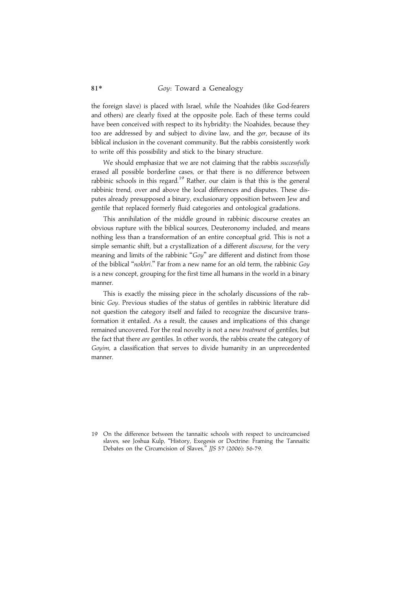the foreign slave) is placed with Israel, while the Noahides (like God-fearers and others) are clearly fixed at the opposite pole. Each of these terms could have been conceived with respect to its hybridity: the Noahides, because they too are addressed by and subject to divine law, and the ger, because of its biblical inclusion in the covenant community. But the rabbis consistently work to write off this possibility and stick to the binary structure.

We should emphasize that we are not claiming that the rabbis successfully erased all possible borderline cases, or that there is no difference between rabbinic schools in this regard.<sup>19</sup> Rather, our claim is that this is the general rabbinic trend, over and above the local differences and disputes. These disputes already presupposed a binary, exclusionary opposition between Jew and gentile that replaced formerly fluid categories and ontological gradations.

This annihilation of the middle ground in rabbinic discourse creates an obvious rupture with the biblical sources, Deuteronomy included, and means nothing less than a transformation of an entire conceptual grid. This is not a simple semantic shift, but a crystallization of a different *discourse*, for the very meaning and limits of the rabbinic "Goy" are different and distinct from those of the biblical "nokhri." Far from a new name for an old term, the rabbinic Goy is a new concept, grouping for the first time all humans in the world in a binary manner.

This is exactly the missing piece in the scholarly discussions of the rabbinic Goy. Previous studies of the status of gentiles in rabbinic literature did not question the category itself and failed to recognize the discursive transformation it entailed. As a result, the causes and implications of this change remained uncovered. For the real novelty is not a new treatment of gentiles, but the fact that there are gentiles. In other words, the rabbis create the category of Goyim, a classification that serves to divide humanity in an unprecedented manner.

19 On the difference between the tannaitic schools with respect to uncircumcised slaves, see Joshua Kulp, ''History, Exegesis or Doctrine: Framing the Tannaitic Debates on the Circumcision of Slaves,'' JJS 57 (2006): 56-79.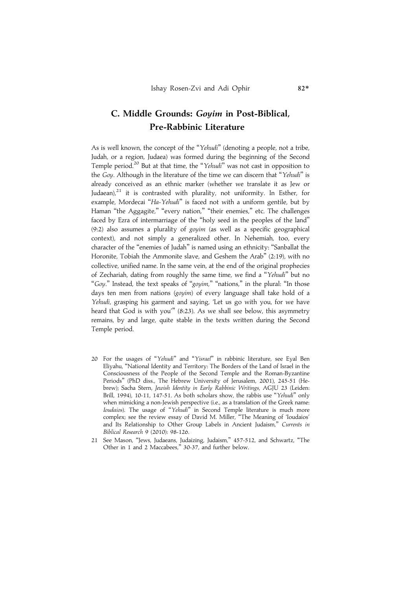# C. Middle Grounds: Goyim in Post-Biblical, Pre-Rabbinic Literature

As is well known, the concept of the "Yehudi" (denoting a people, not a tribe, Judah, or a region, Judaea) was formed during the beginning of the Second Temple period.<sup>20</sup> But at that time, the "Yehudi" was not cast in opposition to the Goy. Although in the literature of the time we can discern that "Yehudi" is already conceived as an ethnic marker (whether we translate it as Jew or Judaean), $21$  it is contrasted with plurality, not uniformity. In Esther, for example, Mordecai "Ha-Yehudi" is faced not with a uniform gentile, but by Haman "the Aggagite," "every nation," "their enemies," etc. The challenges faced by Ezra of intermarriage of the ''holy seed in the peoples of the land'' (9:2) also assumes a plurality of goyim (as well as a specific geographical context), and not simply a generalized other. In Nehemiah, too, every character of the ''enemies of Judah'' is named using an ethnicity: ''Sanballat the Horonite, Tobiah the Ammonite slave, and Geshem the Arab'' (2:19), with no collective, unified name. In the same vein, at the end of the original prophecies of Zechariah, dating from roughly the same time, we find a "Yehudi" but no "Goy." Instead, the text speaks of "goyim," "nations," in the plural: "In those days ten men from nations (goyim) of every language shall take hold of a Yehudi, grasping his garment and saying, 'Let us go with you, for we have heard that God is with you" (8:23). As we shall see below, this asymmetry remains, by and large, quite stable in the texts written during the Second Temple period.

- 20 For the usages of "Yehudi" and "Yisrael" in rabbinic literature, see Eyal Ben Eliyahu, ''National Identity and Territory: The Borders of the Land of Israel in the Consciousness of the People of the Second Temple and the Roman-Byzantine Periods'' (PhD diss., The Hebrew University of Jerusalem, 2001), 245-51 (Hebrew); Sacha Stern, Jewish Identity in Early Rabbinic Writings, AGJU 23 (Leiden: Brill, 1994), 10-11, 147-51. As both scholars show, the rabbis use "Yehudi" only when mimicking a non-Jewish perspective (i.e., as a translation of the Greek name: Ioudaios). The usage of ''Yehudi'' in Second Temple literature is much more complex; see the review essay of David M. Miller, ''The Meaning of 'Ioudaios' and Its Relationship to Other Group Labels in Ancient Judaism,'' Currents in Biblical Research 9 (2010): 98-126.
- 21 See Mason, ''Jews, Judaeans, Judaizing, Judaism,'' 457-512, and Schwartz, ''The Other in 1 and 2 Maccabees,'' 30-37, and further below.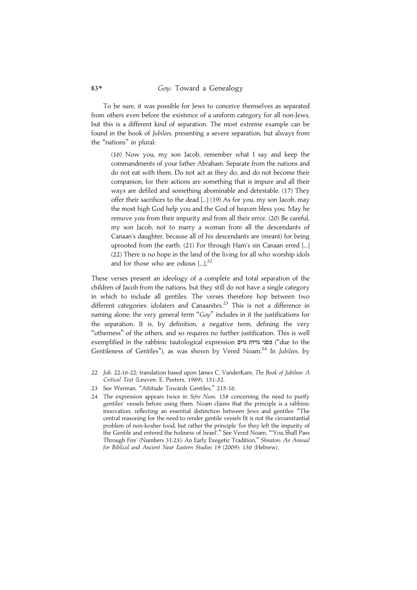To be sure, it was possible for Jews to conceive themselves as separated from others even before the existence of a uniform category for all non-Jews, but this is a different kind of separation. The most extreme example can be found in the book of Jubilees, presenting a severe separation, but always from the "nations" in plural:

(16) Now you, my son Jacob, remember what I say and keep the commandments of your father Abraham. Separate from the nations and do not eat with them. Do not act as they do, and do not become their companion, for their actions are something that is impure and all their ways are defiled and something abominable and detestable. (17) They offer their sacrifices to the dead [...] (19) As for you, my son Jacob, may the most high God help you and the God of heaven bless you. May he remove you from their impurity and from all their error. (20) Be careful, my son Jacob, not to marry a woman from all the descendants of Canaan's daughter, because all of his descendants are (meant) for being uprooted from the earth. (21) For through Ham's sin Canaan erred [...] (22) There is no hope in the land of the living for all who worship idols and for those who are odious [...].<sup>22</sup>

These verses present an ideology of a complete and total separation of the children of Jacob from the nations, but they still do not have a single category in which to include all gentiles. The verses therefore hop between two different categories: idolaters and Canaanites.<sup>23</sup> This is not a difference in naming alone; the very general term "Goy" includes in it the justifications for the separation. It is, by definition, a negative term, defining the very ''otherness'' of the others, and so requires no further justification. This is well exemplified in the rabbinic tautological expression מפני גויוּת גוים ("due to the Gentileness of Gentiles"), as was shown by Vered Noam.<sup>24</sup> In Jubilees, by

<sup>22</sup> Jub. 22:16-22; translation based upon James C. VanderKam, The Book of Jubilees: A Critical Text (Leuven: E. Peeters, 1989), 131-32.

<sup>23</sup> See Werman, ''Attitude Towards Gentiles,'' 215-16.

<sup>24</sup> The expression appears twice in Sifre Num. 158 concerning the need to purify gentiles' vessels before using them. Noam claims that the principle is a rabbinic innovation, reflecting an essential distinction between Jews and gentiles: ''The central reasoning for the need to render gentile vessels fit is not the circumstantial problem of non-kosher food, but rather the principle 'for they left the impurity of the Gentile and entered the holiness of Israel'.'' See Vered Noam, '''You Shall Pass Through Fire' (Numbers 31:23): An Early Exegetic Tradition,'' Shnaton: An Annual for Biblical and Ancient Near Eastern Studies 19 (2009): 136 (Hebrew).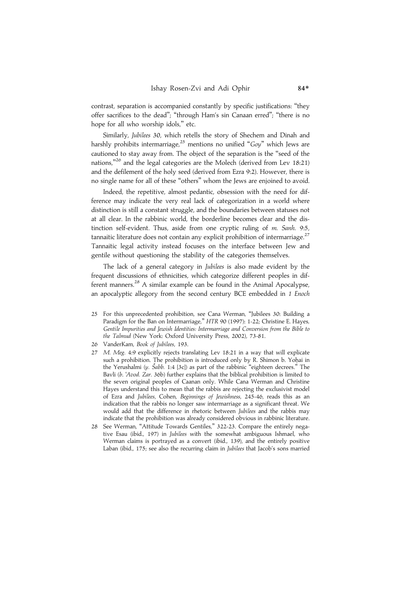contrast, separation is accompanied constantly by specific justifications: ''they offer sacrifices to the dead''; ''through Ham's sin Canaan erred''; ''there is no hope for all who worship idols,'' etc.

Similarly, Jubilees 30, which retells the story of Shechem and Dinah and harshly prohibits intermarriage,<sup>25</sup> mentions no unified "Goy" which Jews are cautioned to stay away from. The object of the separation is the ''seed of the nations,"<sup>26</sup> and the legal categories are the Molech (derived from Lev 18:21) and the defilement of the holy seed (derived from Ezra 9:2). However, there is no single name for all of these ''others'' whom the Jews are enjoined to avoid.

Indeed, the repetitive, almost pedantic, obsession with the need for difference may indicate the very real lack of categorization in a world where distinction is still a constant struggle, and the boundaries between statuses not at all clear. In the rabbinic world, the borderline becomes clear and the distinction self-evident. Thus, aside from one cryptic ruling of m. Sanh. 9:5, tannaitic literature does not contain any explicit prohibition of intermarriage. $27$ Tannaitic legal activity instead focuses on the interface between Jew and gentile without questioning the stability of the categories themselves.

The lack of a general category in Jubilees is also made evident by the frequent discussions of ethnicities, which categorize different peoples in different manners.<sup>28</sup> A similar example can be found in the Animal Apocalypse, an apocalyptic allegory from the second century BCE embedded in 1 Enoch

- 25 For this unprecedented prohibition, see Cana Werman, ''Jubilees 30: Building a Paradigm for the Ban on Intermarriage," HTR 90 (1997): 1-22; Christine E. Hayes, Gentile Impurities and Jewish Identities: Intermarriage and Conversion from the Bible to the Talmud (New York: Oxford University Press, 2002), 73-81.
- 26 VanderKam, Book of Jubilees, 193.
- 27 M. Meg. 4:9 explicitly rejects translating Lev 18:21 in a way that will explicate such a prohibition. The prohibition is introduced only by R. Shimon b. Yohai in the Yerushalmi (y. Šabb. 1:4 [3c]) as part of the rabbinic "eighteen decrees." The Bavli (b. 'Avod. Zar. 36b) further explains that the biblical prohibition is limited to the seven original peoples of Caanan only. While Cana Werman and Christine Hayes understand this to mean that the rabbis are rejecting the exclusivist model of Ezra and Jubilees, Cohen, Beginnings of Jewishness, 245-46, reads this as an indication that the rabbis no longer saw intermarriage as a significant threat. We would add that the difference in rhetoric between Jubilees and the rabbis may indicate that the prohibition was already considered obvious in rabbinic literature.
- 28 See Werman, ''Attitude Towards Gentiles,'' 322-23. Compare the entirely negative Esau (ibid., 197) in Jubilees with the somewhat ambiguous Ishmael, who Werman claims is portrayed as a convert (ibid., 139), and the entirely positive Laban (ibid., 175; see also the recurring claim in Jubilees that Jacob's sons married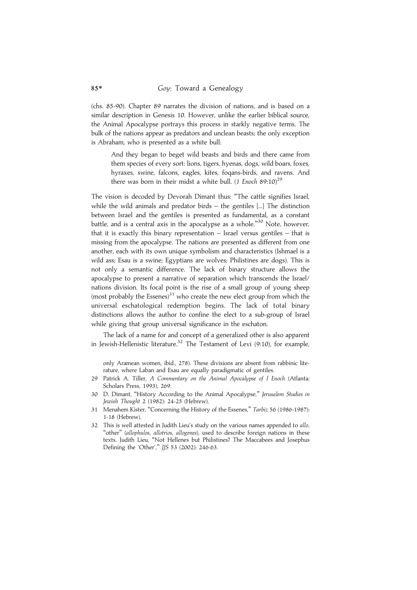(chs. 85-90). Chapter 89 narrates the division of nations, and is based on a similar description in Genesis 10. However, unlike the earlier biblical source, the Animal Apocalypse portrays this process in starkly negative terms. The bulk of the nations appear as predators and unclean beasts; the only exception is Abraham, who is presented as a white bull:

And they began to beget wild beasts and birds and there came from them species of every sort: lions, tigers, hyenas, dogs, wild boars, foxes, hyraxes, swine, falcons, eagles, kites, foqans-birds, and ravens. And there was born in their midst a white bull. (1 Enoch  $89:10^{29}$ 

The vision is decoded by Devorah Dimant thus: ''The cattle signifies Israel, while the wild animals and predator birds – the gentiles [...] The distinction between Israel and the gentiles is presented as fundamental, as a constant battle, and is a central axis in the apocalypse as a whole."<sup>30</sup> Note, however, that it is exactly this binary representation  $-$  Israel versus gentiles  $-$  that is missing from the apocalypse. The nations are presented as different from one another, each with its own unique symbolism and characteristics (Ishmael is a wild ass; Esau is a swine; Egyptians are wolves; Philistines are dogs). This is not only a semantic difference. The lack of binary structure allows the apocalypse to present a narrative of separation which transcends the Israel/ nations division. Its focal point is the rise of a small group of young sheep (most probably the Essenes) $31$  who create the new elect group from which the universal eschatological redemption begins. The lack of total binary distinctions allows the author to confine the elect to a sub-group of Israel while giving that group universal significance in the eschaton.

The lack of a name for and concept of a generalized other is also apparent in Jewish-Hellenistic literature.<sup>32</sup> The Testament of Levi (9:10), for example,

only Aramean women, ibid., 278). These divisions are absent from rabbinic literature, where Laban and Esau are equally paradigmatic of gentiles.

- 29 Patrick A. Tiller, A Commentary on the Animal Apocalypse of I Enoch (Atlanta: Scholars Press, 1993), 269.
- 30 D. Dimant, "History According to the Animal Apocalypse," Jerusalem Studies in Jewish Thought 2 (1982): 24-25 (Hebrew).
- 31 Menahem Kister, "Concerning the History of the Essenes," Tarbiz 56 (1986-1987): 1-18 (Hebrew).
- 32 This is well attested in Judith Lieu's study on the various names appended to allo, 'other" (allophulos, allotrios, allogenes), used to describe foreign nations in these texts. Judith Lieu, ''Not Hellenes but Philistines? The Maccabees and Josephus Defining the 'Other','' JJS 53 (2002): 246-63.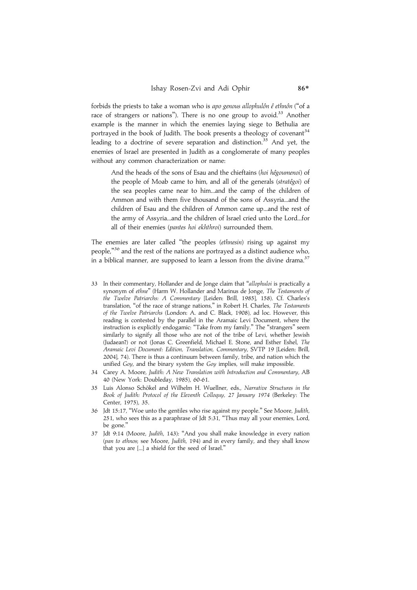forbids the priests to take a woman who is apo genous allophulôn  $\hat{e}$  ethnôn ("of a race of strangers or nations"). There is no one group to avoid.<sup>33</sup> Another example is the manner in which the enemies laying siege to Bethulia are portrayed in the book of Judith. The book presents a theology of covenant<sup>34</sup> leading to a doctrine of severe separation and distinction.<sup>35</sup> And yet, the enemies of Israel are presented in Judith as a conglomerate of many peoples without any common characterization or name:

And the heads of the sons of Esau and the chieftains (hoi hêgoumenoi) of the people of Moab came to him, and all of the generals (stratêgoi) of the sea peoples came near to him...and the camp of the children of Ammon and with them five thousand of the sons of Assyria...and the children of Esau and the children of Ammon came up...and the rest of the army of Assyria...and the children of Israel cried unto the Lord...for all of their enemies (pantes hoi ekhthroi) surrounded them.

The enemies are later called ''the peoples (ethnesin) rising up against my people,"<sup>36</sup> and the rest of the nations are portrayed as a distinct audience who, in a biblical manner, are supposed to learn a lesson from the divine drama.<sup>37</sup>

- 33 In their commentary, Hollander and de Jonge claim that ''allophuloi is practically a synonym of ethne'' (Harm W. Hollander and Marinus de Jonge, The Testaments of the Twelve Patriarchs: A Commentary [Leiden: Brill, 1985], 158). Cf. Charles's translation, ''of the race of strange nations,'' in Robert H. Charles, The Testaments of the Twelve Patriarchs (London: A. and C. Black, 1908), ad loc. However, this reading is contested by the parallel in the Aramaic Levi Document, where the instruction is explicitly endogamic: "Take from my family." The "strangers" seem similarly to signify all those who are not of the tribe of Levi, whether Jewish (Judaean?) or not (Jonas C. Greenfield, Michael E. Stone, and Esther Eshel, The Aramaic Levi Document: Edition, Translation, Commentary, SVTP 19 [Leiden: Brill, 2004], 74). There is thus a continuum between family, tribe, and nation which the unified Goy, and the binary system the Goy implies, will make impossible.
- 34 Carey A. Moore, Judith: A New Translation with Introduction and Commentary, AB 40 (New York: Doubleday, 1985), 60-61.
- 35 Luis Alonso Schökel and Wilhelm H. Wuellner, eds., Narrative Structures in the Book of Judith: Protocol of the Eleventh Colloquy, 27 January 1974 (Berkeley: The Center, 1975), 35.
- 36 Jdt 15:17, ''Woe unto the gentiles who rise against my people.'' See Moore, Judith, 251, who sees this as a paraphrase of Jdt 5:31, ''Thus may all your enemies, Lord, be gone.''
- 37 Jdt 9:14 (Moore, Judith, 143): ''And you shall make knowledge in every nation (pan to ethnos; see Moore, Judith, 194) and in every family, and they shall know that you are [...] a shield for the seed of Israel.''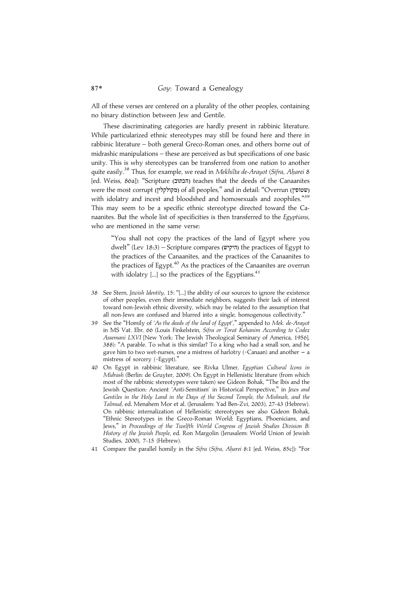All of these verses are centered on a plurality of the other peoples, containing no binary distinction between Jew and Gentile.

These discriminating categories are hardly present in rabbinic literature. While particularized ethnic stereotypes may still be found here and there in rabbinic literature – both general Greco-Roman ones, and others borne out of midrashic manipulations – these are perceived as but specifications of one basic unity. This is why stereotypes can be transferred from one nation to another quite easily.<sup>38</sup> Thus, for example, we read in Mekhilta de-Arayot (Sifra, Aharei 8 [ed. Weiss, 86a]): "Scripture (הכתוב) teaches that the deeds of the Canaanites were the most corrupt (מקולקלין) of all peoples," and in detail: "Overrun (שטופין) with idolatry and incest and bloodshed and homosexuals and zoophiles."<sup>39</sup> This may seem to be a specific ethnic stereotype directed toward the Canaanites. But the whole list of specificities is then transferred to the Egyptians, who are mentioned in the same verse:

"You shall not copy the practices of the land of Egypt where you dwelt" (Lev 18:3) – Scripture compares (היקיש) the practices of Egypt to the practices of the Canaanites, and the practices of the Canaanites to the practices of Egypt.<sup>40</sup> As the practices of the Canaanites are overrun with idolatry  $\left[\ldots\right]$  so the practices of the Egyptians.<sup>41</sup>

- 38 See Stern, Jewish Identity, 15: "[...] the ability of our sources to ignore the existence of other peoples, even their immediate neighbors, suggests their lack of interest toward non-Jewish ethnic diversity, which may be related to the assumption that all non-Jews are confused and blurred into a single, homogenous collectivity.''
- 39 See the "Homily of 'As the deeds of the land of Egypt'," appended to Mek. de-Arayot in MS Vat. Ebr. 66 (Louis Finkelstein, Sifra or Torat Kohanim According to Codex Assemani LXVI [New York: The Jewish Theological Seminary of America, 1956], 388): ''A parable. To what is this similar? To a king who had a small son, and he gave him to two wet-nurses, one a mistress of harlotry (=Canaan) and another  $-$  a mistress of sorcery (=Egypt).''
- On Egypt in rabbinic literature, see Rivka Ulmer, Egyptian Cultural Icons in Midrash (Berlin: de Gruyter, 2009). On Egypt in Hellenistic literature (from which most of the rabbinic stereotypes were taken) see Gideon Bohak, ''The Ibis and the Jewish Question: Ancient 'Anti-Semitism' in Historical Perspective,'' in Jews and Gentiles in the Holy Land in the Days of the Second Temple, the Mishnah, and the Talmud, ed. Menahem Mor et al. (Jerusalem: Yad Ben-Zvi, 2003), 27-43 (Hebrew). On rabbinic internalization of Hellenistic stereotypes see also Gideon Bohak, ''Ethnic Stereotypes in the Greco-Roman World: Egyptians, Phoenicians, and Jews,'' in Proceedings of the Twelfth World Congress of Jewish Studies Division B: History of the Jewish People, ed. Ron Margolin (Jerusalem: World Union of Jewish Studies, 2000), 7-15 (Hebrew).
- 41 Compare the parallel homily in the Sifra (Sifra, Aharei 8:1 [ed. Weiss, 85c]): "For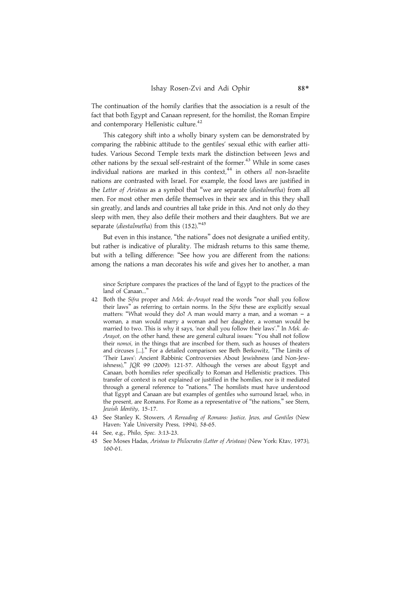The continuation of the homily clarifies that the association is a result of the fact that both Egypt and Canaan represent, for the homilist, the Roman Empire and contemporary Hellenistic culture.<sup>42</sup>

This category shift into a wholly binary system can be demonstrated by comparing the rabbinic attitude to the gentiles' sexual ethic with earlier attitudes. Various Second Temple texts mark the distinction between Jews and other nations by the sexual self-restraint of the former.<sup>43</sup> While in some cases individual nations are marked in this context, $44$  in others all non-Israelite nations are contrasted with Israel. For example, the food laws are justified in the Letter of Aristeas as a symbol that ''we are separate (diestalmetha) from all men. For most other men defile themselves in their sex and in this they shall sin greatly, and lands and countries all take pride in this. And not only do they sleep with men, they also defile their mothers and their daughters. But we are separate (diestalmetha) from this (152)."45

But even in this instance, "the nations" does not designate a unified entity, but rather is indicative of plurality. The midrash returns to this same theme, but with a telling difference: ''See how you are different from the nations: among the nations a man decorates his wife and gives her to another, a man

since Scripture compares the practices of the land of Egypt to the practices of the land of Canaan...'

- 42 Both the Sifra proper and Mek. de-Arayot read the words "nor shall you follow their laws'' as referring to certain norms. In the Sifra these are explicitly sexual matters: "What would they do? A man would marry a man, and a woman  $-$  a woman, a man would marry a woman and her daughter, a woman would be married to two. This is why it says, 'nor shall you follow their laws'.'' In Mek. de-Arayot, on the other hand, these are general cultural issues: ''You shall not follow their nomoi, in the things that are inscribed for them, such as houses of theaters and circuses [...].'' For a detailed comparison see Beth Berkowitz, ''The Limits of 'Their Laws': Ancient Rabbinic Controversies About Jewishness (and Non-Jewishness),'' JQR 99 (2009): 121-57. Although the verses are about Egypt and Canaan, both homilies refer specifically to Roman and Hellenistic practices. This transfer of context is not explained or justified in the homilies, nor is it mediated through a general reference to ''nations.'' The homilists must have understood that Egypt and Canaan are but examples of gentiles who surround Israel, who, in the present, are Romans. For Rome as a representative of ''the nations,'' see Stern, Jewish Identity, 15-17.
- 43 See Stanley K. Stowers, A Rereading of Romans: Justice, Jews, and Gentiles (New Haven: Yale University Press, 1994), 58-65.
- 44 See, e.g., Philo, Spec. 3:13-23.
- 45 See Moses Hadas, Aristeas to Philocrates (Letter of Aristeas) (New York: Ktav, 1973), 160-61.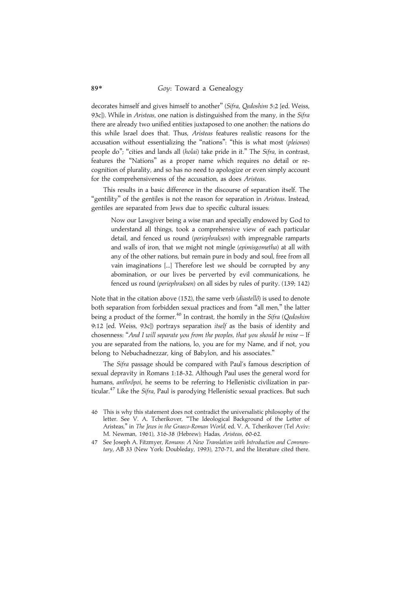decorates himself and gives himself to another" (Sifra, Oedoshim 5:2 [ed. Weiss, 93c]). While in Aristeas, one nation is distinguished from the many, in the Sifra there are already two unified entities juxtaposed to one another: the nations do this while Israel does that. Thus, Aristeas features realistic reasons for the accusation without essentializing the "nations": "this is what most (pleiones) people do"; "cities and lands all (holai) take pride in it." The Sifra, in contrast, features the ''Nations'' as a proper name which requires no detail or recognition of plurality, and so has no need to apologize or even simply account for the comprehensiveness of the accusation, as does Aristeas.

This results in a basic difference in the discourse of separation itself. The "gentility" of the gentiles is not the reason for separation in Aristeas. Instead, gentiles are separated from Jews due to specific cultural issues:

Now our Lawgiver being a wise man and specially endowed by God to understand all things, took a comprehensive view of each particular detail, and fenced us round (periephraksen) with impregnable ramparts and walls of iron, that we might not mingle (epimisgometha) at all with any of the other nations, but remain pure in body and soul, free from all vain imaginations [...] Therefore lest we should be corrupted by any abomination, or our lives be perverted by evil communications, he fenced us round (periephraksen) on all sides by rules of purity. (139; 142)

Note that in the citation above (152), the same verb ( $diastellô$ ) is used to denote both separation from forbidden sexual practices and from ''all men,'' the latter being a product of the former.<sup>46</sup> In contrast, the homily in the *Sifra* (*Qedoshim* 9:12 [ed. Weiss, 93c]) portrays separation itself as the basis of identity and chosenness: ''And I will separate you from the peoples, that you should be mine – If you are separated from the nations, lo, you are for my Name, and if not, you belong to Nebuchadnezzar, king of Babylon, and his associates.''

The Sifra passage should be compared with Paul's famous description of sexual depravity in Romans 1:18-32. Although Paul uses the general word for humans, anthrôpoi, he seems to be referring to Hellenistic civilization in particular.<sup>47</sup> Like the Sifra, Paul is parodying Hellenistic sexual practices. But such

<sup>46</sup> This is why this statement does not contradict the universalistic philosophy of the letter. See V. A. Tcherikover, ''The Ideological Background of the Letter of Aristeas,'' in The Jews in the Graeco-Roman World, ed. V. A. Tcherikover (Tel Aviv: M. Newman, 1961), 316-38 (Hebrew); Hadas, Aristeas, 60-62.

<sup>47</sup> See Joseph A. Fitzmyer, Romans: A New Translation with Introduction and Commentary, AB 33 (New York: Doubleday, 1993), 270-71, and the literature cited there.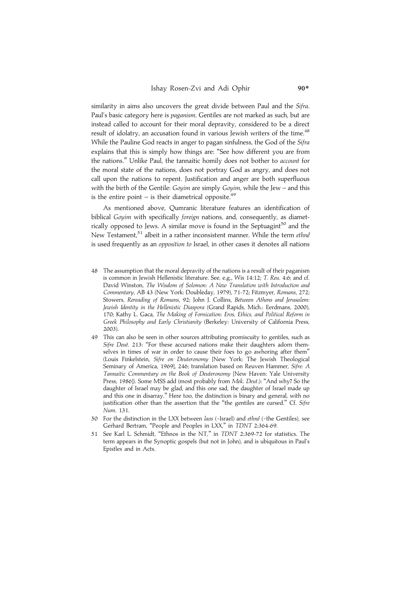similarity in aims also uncovers the great divide between Paul and the Sifra. Paul's basic category here is paganism. Gentiles are not marked as such, but are instead called to account for their moral depravity, considered to be a direct result of idolatry, an accusation found in various Jewish writers of the time.<sup>48</sup> While the Pauline God reacts in anger to pagan sinfulness, the God of the Sifra explains that this is simply how things are: ''See how different you are from the nations.'' Unlike Paul, the tannaitic homily does not bother to account for the moral state of the nations, does not portray God as angry, and does not call upon the nations to repent. Justification and anger are both superfluous with the birth of the Gentile: Goyim are simply Goyim, while the Jew – and this is the entire point – is their diametrical opposite.<sup>49</sup>

As mentioned above, Qumranic literature features an identification of biblical Goyim with specifically foreign nations, and, consequently, as diametrically opposed to Jews. A similar move is found in the Septuagint<sup>50</sup> and the New Testament,<sup>51</sup> albeit in a rather inconsistent manner. While the term ethné is used frequently as an opposition to Israel, in other cases it denotes all nations

- 48 The assumption that the moral depravity of the nations is a result of their paganism is common in Jewish Hellenistic literature. See, e.g., Wis 14:12; T. Reu. 4:6; and cf. David Winston, The Wisdom of Solomon: A New Translation with Introduction and Commentary, AB 43 (New York: Doubleday, 1979), 71-72; Fitzmyer, Romans, 272; Stowers, Rereading of Romans, 92; John J. Collins, Between Athens and Jerusalem: Jewish Identity in the Hellenistic Diaspora (Grand Rapids, Mich.: Eerdmans, 2000), 170; Kathy L. Gaca, The Making of Fornication: Eros, Ethics, and Political Reform in Greek Philosophy and Early Christianity (Berkeley: University of California Press, 2003).
- 49 This can also be seen in other sources attributing promiscuity to gentiles, such as Sifre Deut. 213: "For these accursed nations make their daughters adorn themselves in times of war in order to cause their foes to go awhoring after them'' (Louis Finkelstein, Sifre on Deuteronomy [New York: The Jewish Theological Seminary of America, 1969], 246; translation based on Reuven Hammer, Sifre: A Tannaitic Commentary on the Book of Deuteronomy [New Haven: Yale University Press, 1986]). Some MSS add (most probably from Mek. Deut.): "And why? So the daughter of Israel may be glad, and this one sad, the daughter of Israel made up and this one in disarray.'' Here too, the distinction is binary and general, with no justification other than the assertion that the "the gentiles are cursed." Cf. Sifre Num. 131.
- 50 For the distinction in the LXX between laos (=Israel) and ethnê (=the Gentiles), see Gerhard Bertram, ''People and Peoples in LXX,'' in TDNT 2:364-69.
- 51 See Karl L. Schmidt, ''Ethnos in the NT,'' in TDNT 2:369-72 for statistics. The term appears in the Synoptic gospels (but not in John), and is ubiquitous in Paul's Epistles and in Acts.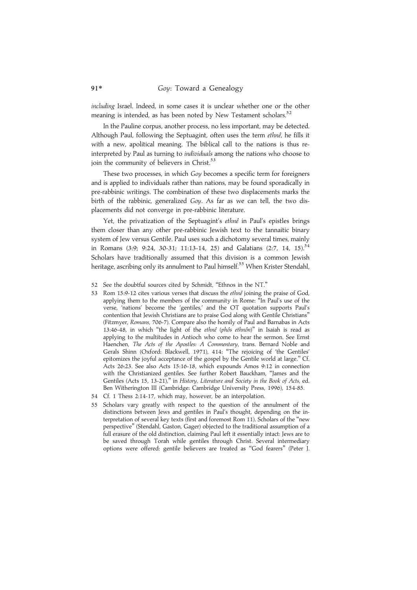including Israel. Indeed, in some cases it is unclear whether one or the other meaning is intended, as has been noted by New Testament scholars.<sup>52</sup>

In the Pauline corpus, another process, no less important, may be detected. Although Paul, following the Septuagint, often uses the term ethne<sup> $\rho$ </sup>, he fills it with a new, apolitical meaning. The biblical call to the nations is thus reinterpreted by Paul as turning to individuals among the nations who choose to join the community of believers in Christ.<sup>53</sup>

These two processes, in which Goy becomes a specific term for foreigners and is applied to individuals rather than nations, may be found sporadically in pre-rabbinic writings. The combination of these two displacements marks the birth of the rabbinic, generalized Goy. As far as we can tell, the two displacements did not converge in pre-rabbinic literature.

Yet, the privatization of the Septuagint's ethne<sup>®</sup> in Paul's epistles brings them closer than any other pre-rabbinic Jewish text to the tannaitic binary system of Jew versus Gentile. Paul uses such a dichotomy several times, mainly in Romans  $(3:9; 9:24, 30-31; 11:13-14, 25)$  and Galatians  $(2:7, 14, 15)$ .<sup>54</sup> Scholars have traditionally assumed that this division is a common Jewish heritage, ascribing only its annulment to Paul himself.<sup>55</sup> When Krister Stendahl,

- 52 See the doubtful sources cited by Schmidt, ''Ethnos in the NT.''
- 53 Rom 15:9-12 cites various verses that discuss the *ethne* joining the praise of God, applying them to the members of the community in Rome: ''In Paul's use of the verse, 'nations' become the 'gentiles,' and the OT quotation supports Paul's contention that Jewish Christians are to praise God along with Gentile Christians'' (Fitzmyer, Romans, 706-7). Compare also the homily of Paul and Barnabas in Acts 13:46-48, in which "the light of the ethnê (phôs ethnôn)" in Isaiah is read as applying to the multitudes in Antioch who come to hear the sermon. See Ernst Haenchen, The Acts of the Apostles: A Commentary, trans. Bernard Noble and Gerals Shinn (Oxford: Blackwell, 1971), 414: ''The rejoicing of 'the Gentiles' epitomizes the joyful acceptance of the gospel by the Gentile world at large.'' Cf. Acts 26:23. See also Acts 15:16-18, which expounds Amos 9:12 in connection with the Christianized gentiles. See further Robert Bauckham, ''James and the Gentiles (Acts 15, 13-21)," in History, Literature and Society in the Book of Acts, ed. Ben Witherington III (Cambridge: Cambridge University Press, 1996), 154-85.
- 54 Cf. 1 Thess 2:14-17, which may, however, be an interpolation.
- 55 Scholars vary greatly with respect to the question of the annulment of the distinctions between Jews and gentiles in Paul's thought, depending on the interpretation of several key texts (first and foremost Rom 11). Scholars of the ''new perspective'' (Stendahl, Gaston, Gager) objected to the traditional assumption of a full erasure of the old distinction, claiming Paul left it essentially intact: Jews are to be saved through Torah while gentiles through Christ. Several intermediary options were offered: gentile believers are treated as ''God fearers'' (Peter J.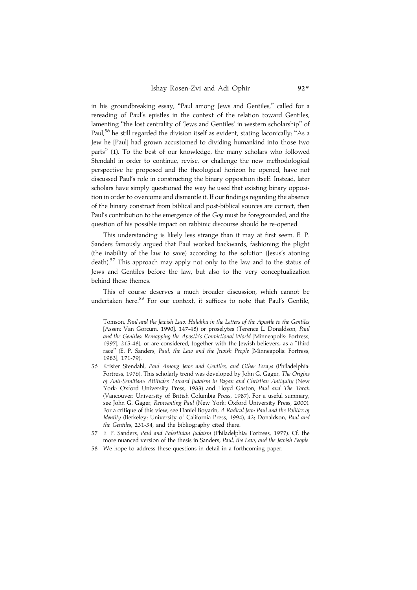in his groundbreaking essay, ''Paul among Jews and Gentiles,'' called for a rereading of Paul's epistles in the context of the relation toward Gentiles, lamenting "the lost centrality of 'Jews and Gentiles' in western scholarship" of Paul,<sup>56</sup> he still regarded the division itself as evident, stating laconically: "As a Jew he [Paul] had grown accustomed to dividing humankind into those two parts'' (1). To the best of our knowledge, the many scholars who followed Stendahl in order to continue, revise, or challenge the new methodological perspective he proposed and the theological horizon he opened, have not discussed Paul's role in constructing the binary opposition itself. Instead, later scholars have simply questioned the way he used that existing binary opposition in order to overcome and dismantle it. If our findings regarding the absence of the binary construct from biblical and post-biblical sources are correct, then Paul's contribution to the emergence of the Goy must be foregrounded, and the question of his possible impact on rabbinic discourse should be re-opened.

This understanding is likely less strange than it may at first seem. E. P. Sanders famously argued that Paul worked backwards, fashioning the plight (the inability of the law to save) according to the solution (Jesus's atoning death).<sup>57</sup> This approach may apply not only to the law and to the status of Jews and Gentiles before the law, but also to the very conceptualization behind these themes.

This of course deserves a much broader discussion, which cannot be undertaken here.<sup>58</sup> For our context, it suffices to note that Paul's Gentile,

Tomson, Paul and the Jewish Law: Halakha in the Letters of the Apostle to the Gentiles [Assen: Van Gorcum, 1990], 147-48) or proselytes (Terence L. Donaldson, Paul and the Gentiles: Remapping the Apostle's Convictional World [Minneapolis: Fortress, 1997], 215-48), or are considered, together with the Jewish believers, as a ''third race'' (E. P. Sanders, Paul, the Law and the Jewish People [Minneapolis: Fortress, 1983], 171-79).

- 56 Krister Stendahl, Paul Among Jews and Gentiles, and Other Essays (Philadelphia: Fortress, 1976). This scholarly trend was developed by John G. Gager, The Origins of Anti-Semitism: Attitudes Toward Judaism in Pagan and Christian Antiquity (New York: Oxford University Press, 1983) and Lloyd Gaston, Paul and The Torah (Vancouver: University of British Columbia Press, 1987). For a useful summary, see John G. Gager, Reinventing Paul (New York: Oxford University Press, 2000). For a critique of this view, see Daniel Boyarin, A Radical Jew: Paul and the Politics of Identity (Berkeley: University of California Press, 1994), 42; Donaldson, Paul and the Gentiles, 231-34, and the bibliography cited there.
- 57 E. P. Sanders, Paul and Palestinian Judaism (Philadelphia: Fortress, 1977). Cf. the more nuanced version of the thesis in Sanders, Paul, the Law, and the Jewish People.
- 58 We hope to address these questions in detail in a forthcoming paper.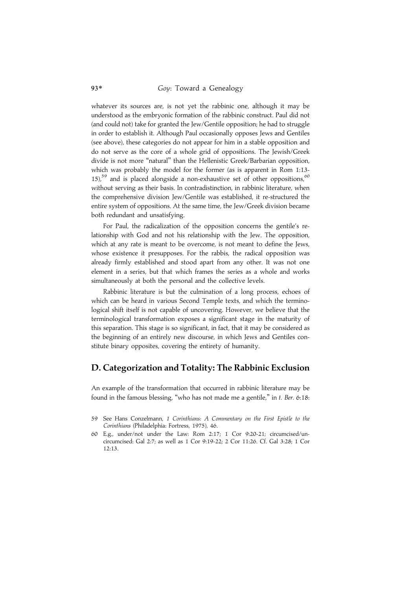whatever its sources are, is not yet the rabbinic one, although it may be understood as the embryonic formation of the rabbinic construct. Paul did not (and could not) take for granted the Jew/Gentile opposition; he had to struggle in order to establish it. Although Paul occasionally opposes Jews and Gentiles (see above), these categories do not appear for him in a stable opposition and do not serve as the core of a whole grid of oppositions. The Jewish/Greek divide is not more ''natural'' than the Hellenistic Greek/Barbarian opposition, which was probably the model for the former (as is apparent in Rom 1:13- 15),<sup>59</sup> and is placed alongside a non-exhaustive set of other oppositions,<sup>60</sup> without serving as their basis. In contradistinction, in rabbinic literature, when the comprehensive division Jew/Gentile was established, it re-structured the entire system of oppositions. At the same time, the Jew/Greek division became both redundant and unsatisfying.

For Paul, the radicalization of the opposition concerns the gentile's relationship with God and not his relationship with the Jew. The opposition, which at any rate is meant to be overcome, is not meant to define the Jews, whose existence it presupposes. For the rabbis, the radical opposition was already firmly established and stood apart from any other. It was not one element in a series, but that which frames the series as a whole and works simultaneously at both the personal and the collective levels.

Rabbinic literature is but the culmination of a long process, echoes of which can be heard in various Second Temple texts, and which the terminological shift itself is not capable of uncovering. However, we believe that the terminological transformation exposes a significant stage in the maturity of this separation. This stage is so significant, in fact, that it may be considered as the beginning of an entirely new discourse, in which Jews and Gentiles constitute binary opposites, covering the entirety of humanity.

## D. Categorization and Totality: The Rabbinic Exclusion

An example of the transformation that occurred in rabbinic literature may be found in the famous blessing, "who has not made me a gentile," in t. Ber. 6:18:

<sup>59</sup> See Hans Conzelmann, 1 Corinthians: A Commentary on the First Epistle to the Corinthians (Philadelphia: Fortress, 1975), 46.

<sup>60</sup> E.g., under/not under the Law: Rom 2:17; 1 Cor 9:20-21; circumcised/uncircumcised: Gal 2:7; as well as 1 Cor 9:19-22; 2 Cor 11:26. Cf. Gal 3:28; 1 Cor 12:13.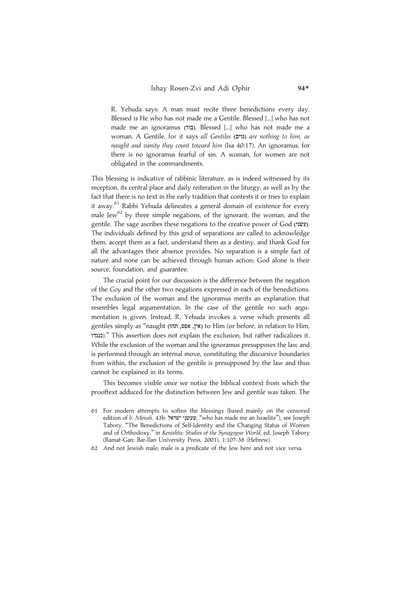R. Yehuda says: A man must recite three benedictions every day. Blessed is He who has not made me a Gentile. Blessed [...] who has not made me an ignoramus (łÆ). Blessed [...] who has not made me a woman. A Gentile, for it says all Gentiles (גוים) are nothing to him, as naught and vanity they count toward him (Isa 40:17). An ignoramus, for there is no ignoramus fearful of sin. A woman, for women are not obligated in the commandments.

This blessing is indicative of rabbinic literature, as is indeed witnessed by its reception, its central place and daily reiteration in the liturgy, as well as by the fact that there is no text in the early tradition that contests it or tries to explain it away.<sup>61</sup> Rabbi Yehuda delineates a general domain of existence for every male Jew<sup>62</sup> by three simple negations, of the ignorant, the woman, and the gentile. The sage ascribes these negations to the creative power of God (עשני). The individuals defined by this grid of separations are called to acknowledge them, accept them as a fact, understand them as a destiny, and thank God for all the advantages their absence provides. No separation is a simple fact of nature and none can be achieved through human action; God alone is their source, foundation, and guarantee.

The crucial point for our discussion is the difference between the negation of the Goy and the other two negations expressed in each of the benedictions. The exclusion of the woman and the ignoramus merits an explanation that resembles legal argumentation. In the case of the gentile no such argumentation is given. Instead, R. Yehuda invokes a verse which presents all gentiles simply as "naught (אין, אפס, תהו) to Him (or before, in relation to Him, ªº).'' This assertion does not explain the exclusion, but rather radicalizes it. While the exclusion of the woman and the ignoramus presupposes the law and is performed through an internal move, constituting the discursive boundaries from within, the exclusion of the gentile is presupposed by the law and thus cannot be explained in its terms.

This becomes visible once we notice the biblical context from which the prooftext adduced for the distinction between Jew and gentile was taken. The

- 61 For modern attempts to soften the blessings (based mainly on the censored edition of b. Menah. 43b: שעשני ישראל, "who has made me an Israelite"), see Joseph Tabory, ''The Benedictions of Self-Identity and the Changing Status of Women and of Orthodoxy,'' in Kenishta: Studies of the Synagogue World, ed. Joseph Tabory (Ramat-Gan: Bar-Ilan University Press, 2001), 1:107-38 (Hebrew).
- 62 And not Jewish male; male is a predicate of the Jew here and not vice versa.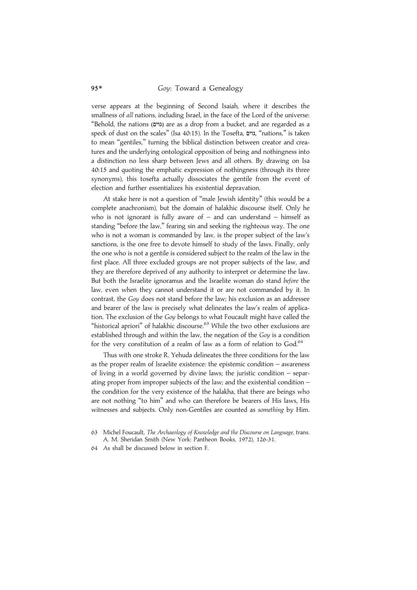verse appears at the beginning of Second Isaiah, where it describes the smallness of all nations, including Israel, in the face of the Lord of the universe: ''Behold, the nations (-Ø) are as a drop from a bucket, and are regarded as a speck of dust on the scales" (Isa 40:15). In the Tosefta, גוים, "nations," is taken to mean ''gentiles,'' turning the biblical distinction between creator and creatures and the underlying ontological opposition of being and nothingness into a distinction no less sharp between Jews and all others. By drawing on Isa 40:15 and quoting the emphatic expression of nothingness (through its three synonyms), this tosefta actually dissociates the gentile from the event of election and further essentializes his existential depravation.

At stake here is not a question of ''male Jewish identity'' (this would be a complete anachronism), but the domain of halakhic discourse itself. Only he who is not ignorant is fully aware of  $-$  and can understand  $-$  himself as standing ''before the law,'' fearing sin and seeking the righteous way. The one who is not a woman is commanded by law, is the proper subject of the law's sanctions, is the one free to devote himself to study of the laws. Finally, only the one who is not a gentile is considered subject to the realm of the law in the first place. All three excluded groups are not proper subjects of the law, and they are therefore deprived of any authority to interpret or determine the law. But both the Israelite ignoramus and the Israelite woman do stand before the law, even when they cannot understand it or are not commanded by it. In contrast, the Goy does not stand before the law; his exclusion as an addressee and bearer of the law is precisely what delineates the law's realm of application. The exclusion of the Goy belongs to what Foucault might have called the "historical apriori" of halakhic discourse.<sup>63</sup> While the two other exclusions are established through and within the law, the negation of the Goy is a condition for the very constitution of a realm of law as a form of relation to God.<sup>64</sup>

Thus with one stroke R. Yehuda delineates the three conditions for the law as the proper realm of Israelite existence: the epistemic condition – awareness of living in a world governed by divine laws; the juristic condition – separating proper from improper subjects of the law; and the existential condition – the condition for the very existence of the halakha, that there are beings who are not nothing ''to him'' and who can therefore be bearers of His laws, His witnesses and subjects. Only non-Gentiles are counted as something by Him.

64 As shall be discussed below in section F.

Michel Foucault, The Archaeology of Knowledge and the Discourse on Language, trans. A. M. Sheridan Smith (New York: Pantheon Books, 1972), 126-31.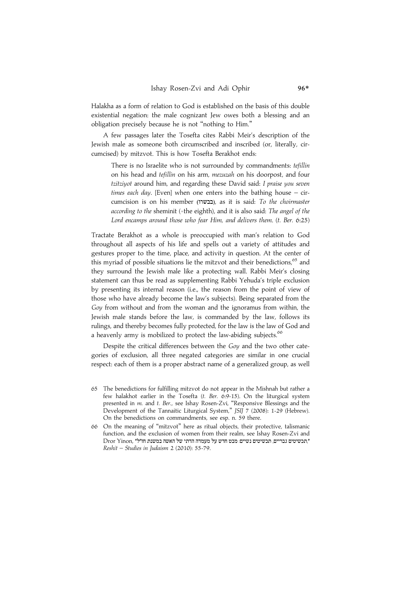Halakha as a form of relation to God is established on the basis of this double existential negation: the male cognizant Jew owes both a blessing and an obligation precisely because he is not ''nothing to Him.''

A few passages later the Tosefta cites Rabbi Meir's description of the Jewish male as someone both circumscribed and inscribed (or, literally, circumcised) by mitzvot. This is how Tosefta Berakhot ends:

There is no Israelite who is not surrounded by commandments: tefillin on his head and tefillin on his arm, mezuzah on his doorpost, and four tzitziyot around him, and regarding these David said: I praise you seven times each day. [Even] when one enters into the bathing house  $-$  circumcision is on his member (בבשרו), as it is said: To the choirmaster according to the sheminit (=the eighth), and it is also said: The angel of the Lord encamps around those who fear Him, and delivers them. (t. Ber. 6:25)

Tractate Berakhot as a whole is preoccupied with man's relation to God throughout all aspects of his life and spells out a variety of attitudes and gestures proper to the time, place, and activity in question. At the center of this myriad of possible situations lie the mitzvot and their benedictions, $65$  and they surround the Jewish male like a protecting wall. Rabbi Meir's closing statement can thus be read as supplementing Rabbi Yehuda's triple exclusion by presenting its internal reason (i.e., the reason from the point of view of those who have already become the law's subjects). Being separated from the Goy from without and from the woman and the ignoramus from within, the Jewish male stands before the law, is commanded by the law, follows its rulings, and thereby becomes fully protected, for the law is the law of God and a heavenly army is mobilized to protect the law-abiding subjects.<sup>66</sup>

Despite the critical differences between the Goy and the two other categories of exclusion, all three negated categories are similar in one crucial respect: each of them is a proper abstract name of a generalized group, as well

- 65 The benedictions for fulfilling mitzvot do not appear in the Mishnah but rather a few halakhot earlier in the Tosefta (t. Ber. 6:9-15). On the liturgical system presented in m. and t. Ber., see Ishay Rosen-Zvi, ''Responsive Blessings and the Development of the Tannaitic Liturgical System,'' JSIJ 7 (2008): 1-29 (Hebrew). On the benedictions on commandments, see esp. n. 59 there.
- 66 On the meaning of ''mitzvot'' here as ritual objects, their protective, talismanic function, and the exclusion of women from their realm, see Ishay Rosen-Zvi and Dror Yinon, "רבשיטים גבריים, תכשיטים נשיים: מבט חדש על מעמדה הדתי של האשה במשנת חז"ל". Reshit – Studies in Judaism 2 (2010): 55-79.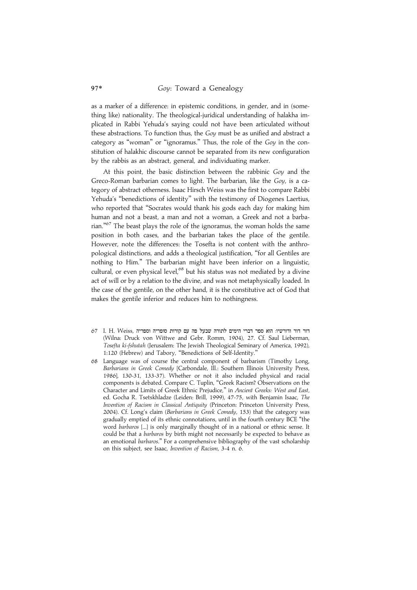as a marker of a difference: in epistemic conditions, in gender, and in (something like) nationality. The theological-juridical understanding of halakha implicated in Rabbi Yehuda's saying could not have been articulated without these abstractions. To function thus, the Goy must be as unified and abstract a category as "woman" or "ignoramus." Thus, the role of the Goy in the constitution of halakhic discourse cannot be separated from its new configuration by the rabbis as an abstract, general, and individuating marker.

At this point, the basic distinction between the rabbinic Goy and the Greco-Roman barbarian comes to light. The barbarian, like the Goy, is a category of abstract otherness. Isaac Hirsch Weiss was the first to compare Rabbi Yehuda's ''benedictions of identity'' with the testimony of Diogenes Laertius, who reported that ''Socrates would thank his gods each day for making him human and not a beast, a man and not a woman, a Greek and not a barbarian."<sup>67</sup> The beast plays the role of the ignoramus, the woman holds the same position in both cases, and the barbarian takes the place of the gentile. However, note the differences: the Tosefta is not content with the anthropological distinctions, and adds a theological justification, ''for all Gentiles are nothing to Him.'' The barbarian might have been inferior on a linguistic, cultural, or even physical level,<sup>68</sup> but his status was not mediated by a divine act of will or by a relation to the divine, and was not metaphysically loaded. In the case of the gentile, on the other hand, it is the constitutive act of God that makes the gentile inferior and reduces him to nothingness.

- 67 I. H. Weiss, דור הור הימים לתורה שבעל פה עם קורות סופריה וספריה הוא ספר דברי הימים לתורה שבעל פ (Wilna: Druck von Wittwe and Gebr. Romm, 1904), 27. Cf. Saul Lieberman, Tosefta ki-fshutah (Jerusalem: The Jewish Theological Seminary of America, 1992), 1:120 (Hebrew) and Tabory, ''Benedictions of Self-Identity.''
- 68 Language was of course the central component of barbarism (Timothy Long, Barbarians in Greek Comedy [Carbondale, Ill.: Southern Illinois University Press, 1986], 130-31, 133-37). Whether or not it also included physical and racial components is debated. Compare C. Tuplin, ''Greek Racism? Observations on the Character and Limits of Greek Ethnic Prejudice,'' in Ancient Greeks: West and East, ed. Gocha R. Tsetskhladze (Leiden: Brill, 1999), 47-75, with Benjamin Isaac, The Invention of Racism in Classical Antiquity (Princeton: Princeton University Press, 2004). Cf. Long's claim (Barbarians in Greek Comedy, 153) that the category was gradually emptied of its ethnic connotations, until in the fourth century BCE ''the word barbaros [...] is only marginally thought of in a national or ethnic sense. It could be that a barbaros by birth might not necessarily be expected to behave as an emotional barbaros." For a comprehensive bibliography of the vast scholarship on this subject, see Isaac, Invention of Racism, 3-4 n. 6.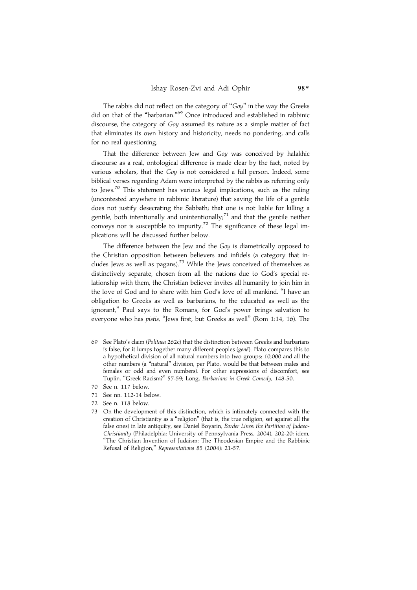The rabbis did not reflect on the category of "Goy" in the way the Greeks did on that of the "barbarian."<sup>69</sup> Once introduced and established in rabbinic discourse, the category of Goy assumed its nature as a simple matter of fact that eliminates its own history and historicity, needs no pondering, and calls for no real questioning.

That the difference between Jew and Goy was conceived by halakhic discourse as a real, ontological difference is made clear by the fact, noted by various scholars, that the Goy is not considered a full person. Indeed, some biblical verses regarding Adam were interpreted by the rabbis as referring only to Jews.<sup>70</sup> This statement has various legal implications, such as the ruling (uncontested anywhere in rabbinic literature) that saving the life of a gentile does not justify desecrating the Sabbath; that one is not liable for killing a gentile, both intentionally and unintentionally; $71$  and that the gentile neither conveys nor is susceptible to impurity.<sup>72</sup> The significance of these legal implications will be discussed further below.

The difference between the Jew and the Goy is diametrically opposed to the Christian opposition between believers and infidels (a category that includes Jews as well as pagans).<sup>73</sup> While the Jews conceived of themselves as distinctively separate, chosen from all the nations due to God's special relationship with them, the Christian believer invites all humanity to join him in the love of God and to share with him God's love of all mankind. ''I have an obligation to Greeks as well as barbarians, to the educated as well as the ignorant,'' Paul says to the Romans, for God's power brings salvation to everyone who has pistis, ''Jews first, but Greeks as well'' (Rom 1:14, 16). The

- 69 See Plato's claim (Politaea 262c) that the distinction between Greeks and barbarians is false, for it lumps together many different peoples (genê). Plato compares this to a hypothetical division of all natural numbers into two groups: 10,000 and all the other numbers (a ''natural'' division, per Plato, would be that between males and females or odd and even numbers). For other expressions of discomfort, see Tuplin, ''Greek Racism?'' 57-59; Long, Barbarians in Greek Comedy, 148-50.
- 70 See n. 117 below.
- 71 See nn. 112-14 below.
- 72 See n. 118 below.
- 73 On the development of this distinction, which is intimately connected with the creation of Christianity as a ''religion'' (that is, the true religion, set against all the false ones) in late antiquity, see Daniel Boyarin, Border Lines: the Partition of Judaeo-Christianity (Philadelphia: University of Pennsylvania Press, 2004), 202-20; idem, ''The Christian Invention of Judaism: The Theodosian Empire and the Rabbinic Refusal of Religion,'' Representations 85 (2004): 21-57.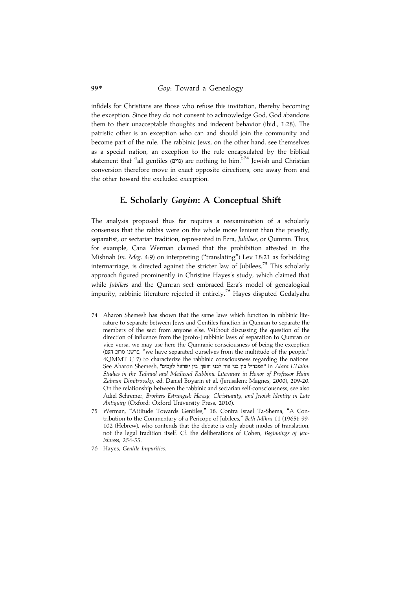infidels for Christians are those who refuse this invitation, thereby becoming the exception. Since they do not consent to acknowledge God, God abandons them to their unacceptable thoughts and indecent behavior (ibid., 1:28). The patristic other is an exception who can and should join the community and become part of the rule. The rabbinic Jews, on the other hand, see themselves as a special nation, an exception to the rule encapsulated by the biblical statement that "all gentiles (גוים) are nothing to him."<sup>74</sup> Jewish and Christian conversion therefore move in exact opposite directions, one away from and the other toward the excluded exception.

## E. Scholarly Goyim: A Conceptual Shift

The analysis proposed thus far requires a reexamination of a scholarly consensus that the rabbis were on the whole more lenient than the priestly, separatist, or sectarian tradition, represented in Ezra, Jubilees, or Qumran. Thus, for example, Cana Werman claimed that the prohibition attested in the Mishnah (m. Meg. 4:9) on interpreting ("translating") Lev 18:21 as forbidding intermarriage, is directed against the stricter law of Jubilees.<sup>75</sup> This scholarly approach figured prominently in Christine Hayes's study, which claimed that while Jubilees and the Qumran sect embraced Ezra's model of genealogical impurity, rabbinic literature rejected it entirely.<sup>76</sup> Hayes disputed Gedalyahu

- 74 Aharon Shemesh has shown that the same laws which function in rabbinic literature to separate between Jews and Gentiles function in Qumran to separate the members of the sect from anyone else. Without discussing the question of the direction of influence from the [proto-] rabbinic laws of separation to Qumran or vice versa, we may use here the Qumranic consciousness of being the exception (פרשנו מרוב העם, "we have separated ourselves from the multitude of the people," 4QMMT C 7) to characterize the rabbinic consciousness regarding the nations. See Aharon Shemesh, "המבדיל בין בני אור לבני חושך, בין ישראל לעמים", in Atara L'Haim: Studies in the Talmud and Medieval Rabbinic Literature in Honor of Professor Haim Zalman Dimitrovsky, ed. Daniel Boyarin et al. (Jerusalem: Magnes, 2000), 209-20. On the relationship between the rabbinic and sectarian self-consciousness, see also Adiel Schremer, Brothers Estranged: Heresy, Christianity, and Jewish Identity in Late Antiquity (Oxford: Oxford University Press, 2010).
- 75 Werman, ''Attitude Towards Gentiles,'' 18. Contra Israel Ta-Shema, ''A Contribution to the Commentary of a Pericope of Jubilees,'' Beth Mikra 11 (1965): 99- 102 (Hebrew), who contends that the debate is only about modes of translation, not the legal tradition itself. Cf. the deliberations of Cohen, Beginnings of Jewishness, 254-55.
- 76 Hayes, Gentile Impurities.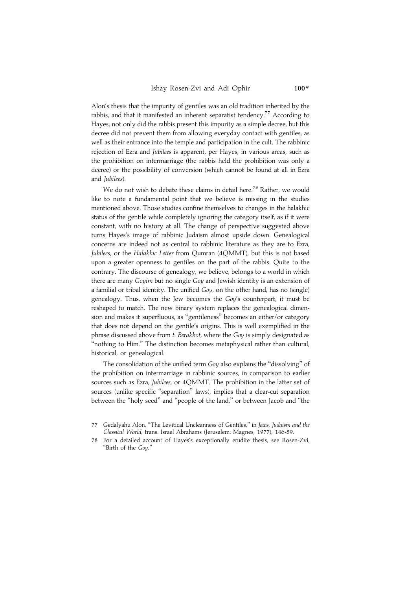Alon's thesis that the impurity of gentiles was an old tradition inherited by the rabbis, and that it manifested an inherent separatist tendency.<sup>77</sup> According to Hayes, not only did the rabbis present this impurity as a simple decree, but this decree did not prevent them from allowing everyday contact with gentiles, as well as their entrance into the temple and participation in the cult. The rabbinic rejection of Ezra and Jubilees is apparent, per Hayes, in various areas, such as the prohibition on intermarriage (the rabbis held the prohibition was only a decree) or the possibility of conversion (which cannot be found at all in Ezra and Jubilees).

We do not wish to debate these claims in detail here.<sup>78</sup> Rather, we would like to note a fundamental point that we believe is missing in the studies mentioned above. Those studies confine themselves to changes in the halakhic status of the gentile while completely ignoring the category itself, as if it were constant, with no history at all. The change of perspective suggested above turns Hayes's image of rabbinic Judaism almost upside down. Genealogical concerns are indeed not as central to rabbinic literature as they are to Ezra, Jubilees, or the Halakhic Letter from Qumran (4QMMT), but this is not based upon a greater openness to gentiles on the part of the rabbis. Quite to the contrary. The discourse of genealogy, we believe, belongs to a world in which there are many Goyim but no single Goy and Jewish identity is an extension of a familial or tribal identity. The unified Goy, on the other hand, has no (single) genealogy. Thus, when the Jew becomes the Goy's counterpart, it must be reshaped to match. The new binary system replaces the genealogical dimension and makes it superfluous, as ''gentileness'' becomes an either/or category that does not depend on the gentile's origins. This is well exemplified in the phrase discussed above from t. Berakhot, where the Goy is simply designated as "nothing to Him." The distinction becomes metaphysical rather than cultural, historical, or genealogical.

The consolidation of the unified term Goy also explains the "dissolving" of the prohibition on intermarriage in rabbinic sources, in comparison to earlier sources such as Ezra, Jubilees, or 4QMMT. The prohibition in the latter set of sources (unlike specific ''separation'' laws), implies that a clear-cut separation between the ''holy seed'' and ''people of the land,'' or between Jacob and ''the

Gedalyahu Alon, "The Levitical Uncleanness of Gentiles," in Jews, Judaism and the Classical World, trans. Israel Abrahams (Jerusalem: Magnes, 1977), 146-89.

<sup>78</sup> For a detailed account of Hayes's exceptionally erudite thesis, see Rosen-Zvi, ''Birth of the Goy.''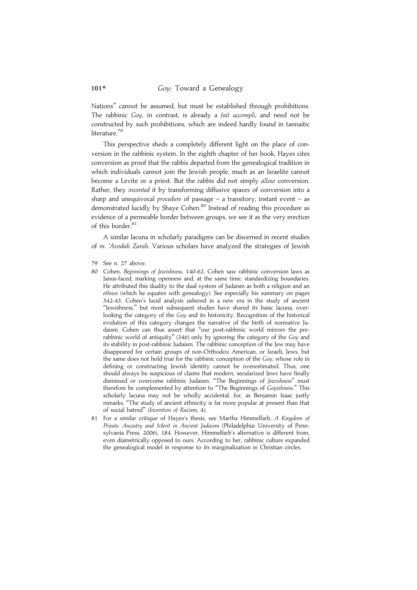Nations'' cannot be assumed, but must be established through prohibitions. The rabbinic Goy, in contrast, is already a fait accompli, and need not be constructed by such prohibitions, which are indeed hardly found in tannaitic literature.<sup>79</sup>

This perspective sheds a completely different light on the place of conversion in the rabbinic system. In the eighth chapter of her book, Hayes cites conversion as proof that the rabbis departed from the genealogical tradition in which individuals cannot join the Jewish people, much as an Israelite cannot become a Levite or a priest. But the rabbis did not simply allow conversion. Rather, they invented it by transforming diffusive spaces of conversion into a sharp and unequivocal *procedure* of passage  $-$  a transitory, instant event  $-$  as demonstrated lucidly by Shaye Cohen.<sup>80</sup> Instead of reading this procedure as evidence of a permeable border between groups, we see it as the very erection of this border.<sup>81</sup>

A similar lacuna in scholarly paradigms can be discerned in recent studies of m. 'Avodah Zarah. Various scholars have analyzed the strategies of Jewish

- 80 Cohen, Beginnings of Jewishness, 140-62. Cohen saw rabbinic conversion laws as Janus-faced, marking openness and, at the same time, standardizing boundaries. He attributed this duality to the dual system of Judaism as both a religion and an ethnos (which he equates with genealogy). See especially his summary on pages 342-43. Cohen's lucid analysis ushered in a new era in the study of ancient ''Jewishness,'' but most subsequent studies have shared its basic lacuna, overlooking the category of the Goy and its historicity. Recognition of the historical evolution of this category changes the narrative of the birth of normative Judaism. Cohen can thus assert that ''our post-rabbinic world mirrors the prerabbinic world of antiquity'' (346) only by ignoring the category of the Goy and its stability in post-rabbinic Judaism. The rabbinic conception of the Jew may have disappeared for certain groups of non-Orthodox American, or Israeli, Jews, but the same does not hold true for the rabbinic conception of the Goy, whose role in defining or constructing Jewish identity cannot be overestimated. Thus, one should always be suspicious of claims that modern, secularized Jews have finally dismissed or overcome rabbinic Judaism. "The Beginnings of Jewishness" must therefore be complemented by attention to ''The Beginnings of Goyishness.'' This scholarly lacuna may not be wholly accidental, for, as Benjamin Isaac justly remarks, ''The study of ancient ethnicity is far more popular at present than that of social hatred'' (Invention of Racism, 4).
- 81 For a similar critique of Hayes's thesis, see Martha Himmelfarb, A Kingdom of Priests: Ancestry and Merit in Ancient Judaism (Philadelphia: University of Pennsylvania Press, 2006), 184. However, Himmelfarb's alternative is different from, even diametrically opposed to ours. According to her, rabbinic culture expanded the genealogical model in response to its marginalization in Christian circles.

<sup>79</sup> See n. 27 above.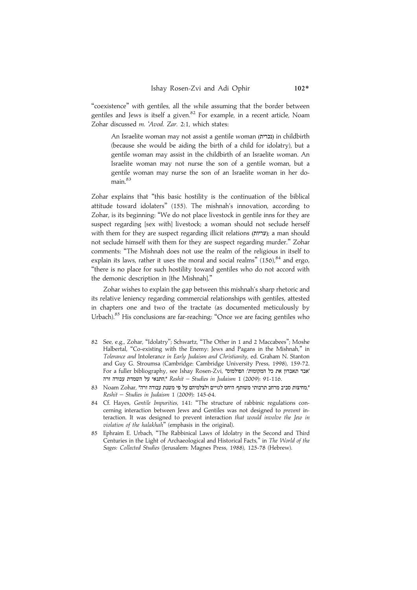''coexistence'' with gentiles, all the while assuming that the border between gentiles and Jews is itself a given.<sup>82</sup> For example, in a recent article, Noam Zohar discussed m. 'Avod. Zar. 2:1, which states:

An Israelite woman may not assist a gentile woman (נכרית) in childbirth (because she would be aiding the birth of a child for idolatry), but a gentile woman may assist in the childbirth of an Israelite woman. An Israelite woman may not nurse the son of a gentile woman, but a gentile woman may nurse the son of an Israelite woman in her domain.<sup>83</sup>

Zohar explains that ''this basic hostility is the continuation of the biblical attitude toward idolaters'' (155). The mishnah's innovation, according to Zohar, is its beginning: ''We do not place livestock in gentile inns for they are suspect regarding [sex with] livestock; a woman should not seclude herself with them for they are suspect regarding illicit relations (עריות); a man should not seclude himself with them for they are suspect regarding murder.'' Zohar comments: ''The Mishnah does not use the realm of the religious in itself to explain its laws, rather it uses the moral and social realms"  $(156)$ ,  $84$  and ergo, ''there is no place for such hostility toward gentiles who do not accord with the demonic description in [the Mishnah].''

Zohar wishes to explain the gap between this mishnah's sharp rhetoric and its relative leniency regarding commercial relationships with gentiles, attested in chapters one and two of the tractate (as documented meticulously by Urbach).<sup>85</sup> His conclusions are far-reaching: "Once we are facing gentiles who

- 82 See, e.g., Zohar, ''Idolatry''; Schwartz, ''The Other in 1 and 2 Maccabees''; Moshe Halbertal, "Co-existing with the Enemy: Jews and Pagans in the Mishnah," in Tolerance and Intolerance in Early Judaism and Christianity, ed. Graham N. Stanton and Guy G. Stroumsa (Cambridge: Cambridge University Press, 1998), 159-72. For a fuller bibliography, see Ishay Rosen-Zvi, "הפולמוס". For a fuller bibliography, see Ishay Rosen-Zvi התנאי על השמדת עבודה זרה," Reshit – Studies in Judaism 1 (2009): 91-116.
- 83 Noam Zohar, "החיצות סביב מרחב תרבותי משותף: היחס לגויים ולצלמיהם על פי משנת עבודה זרה" Reshit – Studies in Judaism 1 (2009): 145-64.
- 84 Cf. Hayes, Gentile Impurities, 141: ''The structure of rabbinic regulations concerning interaction between Jews and Gentiles was not designed to prevent interaction. It was designed to prevent interaction that would involve the Jew in violation of the halakhah'' (emphasis in the original).
- 85 Ephraim E. Urbach, ''The Rabbinical Laws of Idolatry in the Second and Third Centuries in the Light of Archaeological and Historical Facts,'' in The World of the Sages: Collected Studies (Jerusalem: Magnes Press, 1988), 125-78 (Hebrew).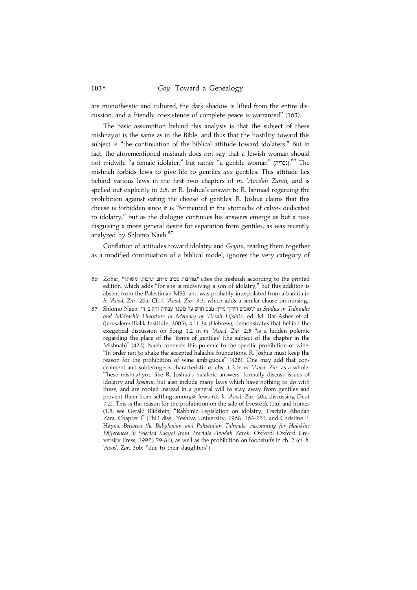are monotheistic and cultured, the dark shadow is lifted from the entire discussion, and a friendly coexistence of complete peace is warranted'' (163).

The basic assumption behind this analysis is that the subject of these mishnayot is the same as in the Bible, and thus that the hostility toward this subject is ''the continuation of the biblical attitude toward idolaters.'' But in fact, the aforementioned mishnah does not say that a Jewish woman should not midwife "a female idolater," but rather "a gentile woman" (נכרית). $^{86}$  The mishnah forbids Jews to give life to gentiles qua gentiles. This attitude lies behind various laws in the first two chapters of m. 'Avodah Zarah, and is spelled out explicitly in 2:5, in R. Joshua's answer to R. Ishmael regarding the prohibition against eating the cheese of gentiles. R. Joshua claims that this cheese is forbidden since it is ''fermented in the stomachs of calves dedicated to idolatry,'' but as the dialogue continues his answers emerge as but a ruse disguising a more general desire for separation from gentiles, as was recently analyzed by Shlomo Naeh.<sup>87</sup>

Conflation of attitudes toward idolatry and Goyim, reading them together as a modified continuation of a biblical model, ignores the very category of

- 86 Zohar, "מחיצות סביב מרחב תרבותי משותף" cites the mishnah according to the printed edition, which adds ''for she is midwiving a son of idolatry,'' but this addition is absent from the Palestinian MSS, and was probably interpolated from a baraita in b. 'Avod. Zar. 26a. Cf. t. 'Avod. Zar. 3:3, which adds a similar clause on nursing.
- 87 Shlomo Naeh, "ה ישובים אודין מיין": מבט חדש על משנה עבודה זרה ב, ה", in Studies in Talmudic and Midrashic Literature in Memory of Tirzah Lifshitz, ed. M. Bar-Asher et al. (Jerusalem: Bialik Institute, 2005), 411-34 (Hebrew), demonstrates that behind the exegetical discussion on Song 1:2 in m. 'Avod. Zar. 2:5 ''is a hidden polemic regarding the place of the 'items of gentiles' (the subject of the chapter in the Mishnah)'' (422). Naeh connects this polemic to the specific prohibition of wine: ''In order not to shake the accepted halakhic foundations, R. Joshua must keep the reason for the prohibition of wine ambiguous'' (428). One may add that concealment and subterfuge is characteristic of chs. 1-2 in m. 'Avod. Zar. as a whole. These mishnahyot, like R. Joshua's halakhic answers, formally discuss issues of idolatry and kashrut, but also include many laws which have nothing to do with these, and are rooted instead in a general will to stay away from gentiles and prevent them from settling amongst Jews (cf. b. 'Avod. Zar. 20a, discussing Deut 7:2). This is the reason for the prohibition on the sale of livestock (1:6) and homes (1:8; see Gerald Blidstein, ''Rabbinic Legislation on Idolatry, Tractate Abodah Zara, Chapter I'' [PhD diss., Yeshiva University, 1968] 163-221, and Christine E. Hayes, Between the Babylonian and Palestinian Talmuds: Accounting for Halakhic Differences in Selected Sugyot from Tractate Avodah Zarah [Oxford: Oxford University Press, 1997], 79-81), as well as the prohibition on foodstuffs in ch. 2 (cf. b. 'Avod. Zar. 36b: "due to their daughters").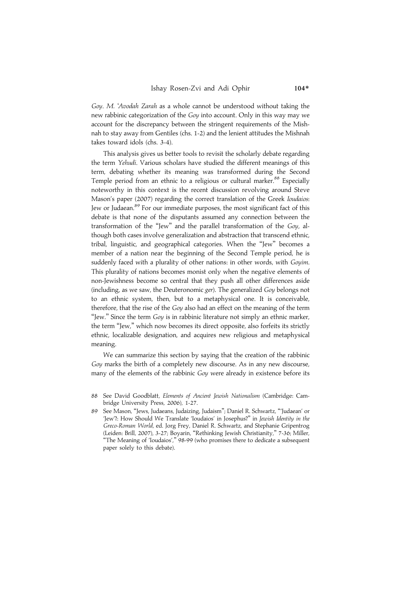Goy. M. 'Avodah Zarah as a whole cannot be understood without taking the new rabbinic categorization of the Goy into account. Only in this way may we account for the discrepancy between the stringent requirements of the Mishnah to stay away from Gentiles (chs. 1-2) and the lenient attitudes the Mishnah takes toward idols (chs. 3-4).

This analysis gives us better tools to revisit the scholarly debate regarding the term Yehudi. Various scholars have studied the different meanings of this term, debating whether its meaning was transformed during the Second Temple period from an ethnic to a religious or cultural marker.<sup>88</sup> Especially noteworthy in this context is the recent discussion revolving around Steve Mason's paper (2007) regarding the correct translation of the Greek Ioudaios: Jew or Judaean.<sup>89</sup> For our immediate purposes, the most significant fact of this debate is that none of the disputants assumed any connection between the transformation of the ''Jew'' and the parallel transformation of the Goy, although both cases involve generalization and abstraction that transcend ethnic, tribal, linguistic, and geographical categories. When the ''Jew'' becomes a member of a nation near the beginning of the Second Temple period, he is suddenly faced with a plurality of other nations: in other words, with Goyim. This plurality of nations becomes monist only when the negative elements of non-Jewishness become so central that they push all other differences aside (including, as we saw, the Deuteronomic ger). The generalized Goy belongs not to an ethnic system, then, but to a metaphysical one. It is conceivable, therefore, that the rise of the Goy also had an effect on the meaning of the term "Jew." Since the term  $Goy$  is in rabbinic literature not simply an ethnic marker, the term ''Jew,'' which now becomes its direct opposite, also forfeits its strictly ethnic, localizable designation, and acquires new religious and metaphysical meaning.

We can summarize this section by saying that the creation of the rabbinic Goy marks the birth of a completely new discourse. As in any new discourse, many of the elements of the rabbinic Goy were already in existence before its

89 See Mason, ''Jews, Judaeans, Judaizing, Judaism''; Daniel R. Schwartz, '''Judaean' or 'Jew'?: How Should We Translate 'Ioudaios' in Josephus?'' in Jewish Identity in the Greco-Roman World, ed. Jorg Frey, Daniel R. Schwartz, and Stephanie Gripentrog (Leiden: Brill, 2007), 3-27; Boyarin, ''Rethinking Jewish Christianity,'' 7-36; Miller, "The Meaning of 'Ioudaios'," 98-99 (who promises there to dedicate a subsequent paper solely to this debate).

<sup>88</sup> See David Goodblatt, Elements of Ancient Jewish Nationalism (Cambridge: Cambridge University Press, 2006), 1-27.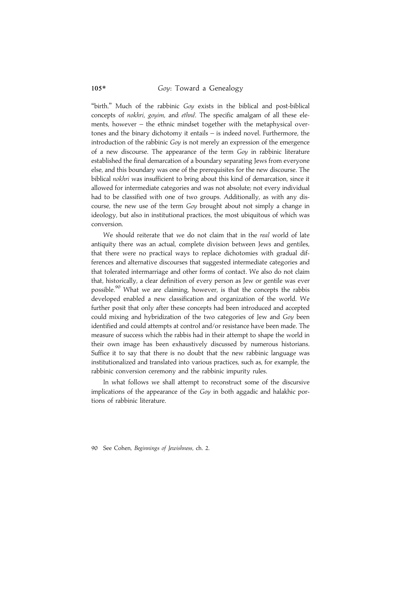"birth." Much of the rabbinic Gov exists in the biblical and post-biblical concepts of nokhri, goyim, and ethnê. The specific amalgam of all these elements, however – the ethnic mindset together with the metaphysical overtones and the binary dichotomy it entails – is indeed novel. Furthermore, the introduction of the rabbinic Goy is not merely an expression of the emergence of a new discourse. The appearance of the term Goy in rabbinic literature established the final demarcation of a boundary separating Jews from everyone else, and this boundary was one of the prerequisites for the new discourse. The biblical *nokhri* was insufficient to bring about this kind of demarcation, since it allowed for intermediate categories and was not absolute; not every individual had to be classified with one of two groups. Additionally, as with any discourse, the new use of the term Goy brought about not simply a change in ideology, but also in institutional practices, the most ubiquitous of which was conversion.

We should reiterate that we do not claim that in the real world of late antiquity there was an actual, complete division between Jews and gentiles, that there were no practical ways to replace dichotomies with gradual differences and alternative discourses that suggested intermediate categories and that tolerated intermarriage and other forms of contact. We also do not claim that, historically, a clear definition of every person as Jew or gentile was ever possible.<sup>90</sup> What we are claiming, however, is that the concepts the rabbis developed enabled a new classification and organization of the world. We further posit that only after these concepts had been introduced and accepted could mixing and hybridization of the two categories of Jew and Goy been identified and could attempts at control and/or resistance have been made. The measure of success which the rabbis had in their attempt to shape the world in their own image has been exhaustively discussed by numerous historians. Suffice it to say that there is no doubt that the new rabbinic language was institutionalized and translated into various practices, such as, for example, the rabbinic conversion ceremony and the rabbinic impurity rules.

In what follows we shall attempt to reconstruct some of the discursive implications of the appearance of the Goy in both aggadic and halakhic portions of rabbinic literature.

90 See Cohen, Beginnings of Jewishness, ch. 2.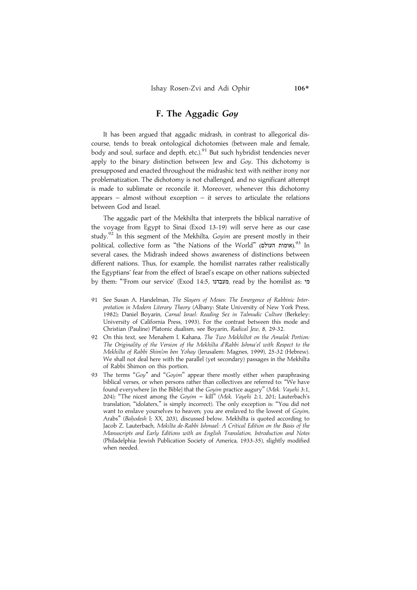## F. The Aggadic Goy

It has been argued that aggadic midrash, in contrast to allegorical discourse, tends to break ontological dichotomies (between male and female, body and soul, surface and depth, etc.).<sup>91</sup> But such hybridist tendencies never apply to the binary distinction between Jew and  $Goy$ . This dichotomy is presupposed and enacted throughout the midrashic text with neither irony nor problematization. The dichotomy is not challenged, and no significant attempt is made to sublimate or reconcile it. Moreover, whenever this dichotomy appears – almost without exception – it serves to articulate the relations between God and Israel.

The aggadic part of the Mekhilta that interprets the biblical narrative of the voyage from Egypt to Sinai (Exod 13-19) will serve here as our case study.<sup>92</sup> In this segment of the Mekhilta, Goyim are present mostly in their political, collective form as "the Nations of the World" (אומות העולם).<sup>93</sup> In several cases, the Midrash indeed shows awareness of distinctions between different nations. Thus, for example, the homilist narrates rather realistically the Egyptians' fear from the effect of Israel's escape on other nations subjected by them: "From our service' (Exod 14:5, מעבדנו read by the homilist as: מי

- 91 See Susan A. Handelman, The Slayers of Moses: The Emergence of Rabbinic Interpretation in Modern Literary Theory (Albany: State University of New York Press, 1982); Daniel Boyarin, Carnal Israel: Reading Sex in Talmudic Culture (Berkeley: University of California Press, 1993). For the contrast between this mode and Christian (Pauline) Platonic dualism, see Boyarin, Radical Jew, 8, 29-32.
- 92 On this text, see Menahem I. Kahana, The Two Mekhiltot on the Amalek Portion: The Originality of the Version of the Mekhilta d'Rabbi Ishma'el with Respect to the Mekhilta of Rabbi Shim'on ben Yohay (Jerusalem: Magnes, 1999), 25-32 (Hebrew). We shall not deal here with the parallel (yet secondary) passages in the Mekhilta of Rabbi Shimon on this portion.
- 93 The terms "Goy" and "Goyim" appear there mostly either when paraphrasing biblical verses, or when persons rather than collectives are referred to: ''We have found everywhere [in the Bible] that the Goyim practice augury'' (Mek. Vayehi 3:1, 204); "The nicest among the  $Govim -$  kill" (Mek. Vayehi 2:1, 201; Lauterbach's translation, ''idolaters,'' is simply incorrect). The only exception is: ''You did not want to enslave yourselves to heaven; you are enslaved to the lowest of Goyim, Arabs" (Bahodesh I; XX, 203), discussed below. Mekhilta is quoted according to Jacob Z. Lauterbach, Mekilta de-Rabbi Ishmael: A Critical Edition on the Basis of the Manuscripts and Early Editions with an English Translation, Introduction and Notes (Philadelphia: Jewish Publication Society of America, 1933-35), slightly modified when needed.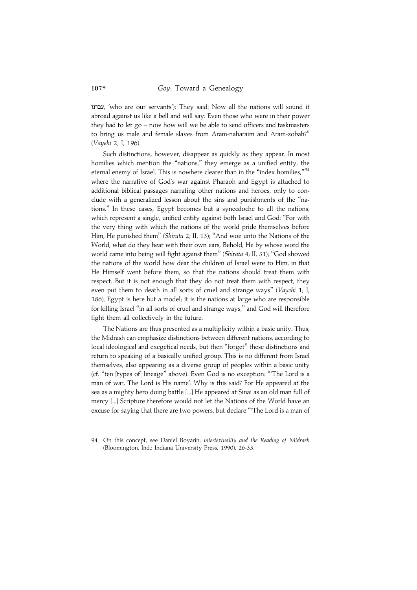עבדנו, 'who are our servants'): They said: Now all the nations will sound it abroad against us like a bell and will say: Even those who were in their power they had to let go – now how will we be able to send officers and taskmasters to bring us male and female slaves from Aram-naharaim and Aram-zobah?'' (Vayehi 2; I, 196).

Such distinctions, however, disappear as quickly as they appear. In most homilies which mention the "nations," they emerge as a unified entity, the eternal enemy of Israel. This is nowhere clearer than in the "index homilies,"<sup>94</sup> where the narrative of God's war against Pharaoh and Egypt is attached to additional biblical passages narrating other nations and heroes, only to conclude with a generalized lesson about the sins and punishments of the ''nations.'' In these cases, Egypt becomes but a synecdoche to all the nations, which represent a single, unified entity against both Israel and God: ''For with the very thing with which the nations of the world pride themselves before Him, He punished them'' (Shirata 2; II, 13); ''And woe unto the Nations of the World, what do they hear with their own ears, Behold, He by whose word the world came into being will fight against them'' (Shirata 4; II, 31); ''God showed the nations of the world how dear the children of Israel were to Him, in that He Himself went before them, so that the nations should treat them with respect. But it is not enough that they do not treat them with respect, they even put them to death in all sorts of cruel and strange ways" (Vayehi 1; I, 186). Egypt is here but a model; it is the nations at large who are responsible for killing Israel ''in all sorts of cruel and strange ways,'' and God will therefore fight them all collectively in the future.

The Nations are thus presented as a multiplicity within a basic unity. Thus, the Midrash can emphasize distinctions between different nations, according to local ideological and exegetical needs, but then ''forget'' these distinctions and return to speaking of a basically unified group. This is no different from Israel themselves, also appearing as a diverse group of peoples within a basic unity (cf. ''ten [types of] lineage'' above). Even God is no exception: '''The Lord is a man of war, The Lord is His name': Why is this said? For He appeared at the sea as a mighty hero doing battle [...] He appeared at Sinai as an old man full of mercy [...] Scripture therefore would not let the Nations of the World have an excuse for saying that there are two powers, but declare '''The Lord is a man of

<sup>94</sup> On this concept, see Daniel Boyarin, Intertextuality and the Reading of Midrash (Bloomington, Ind.: Indiana University Press, 1990), 26-33.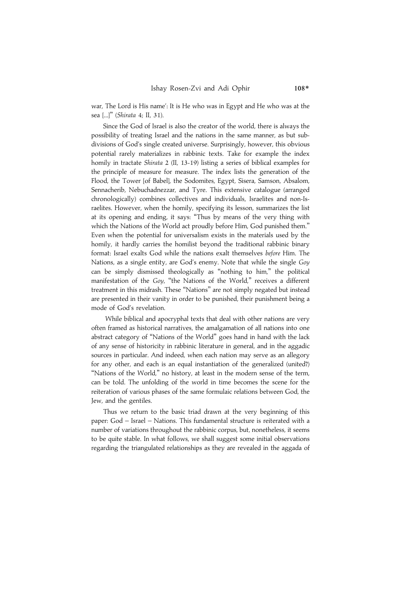war, The Lord is His name': It is He who was in Egypt and He who was at the sea [...]" (Shirata 4; II, 31).

Since the God of Israel is also the creator of the world, there is always the possibility of treating Israel and the nations in the same manner, as but subdivisions of God's single created universe. Surprisingly, however, this obvious potential rarely materializes in rabbinic texts. Take for example the index homily in tractate Shirata 2 (II, 13-19) listing a series of biblical examples for the principle of measure for measure. The index lists the generation of the Flood, the Tower [of Babel], the Sodomites, Egypt, Sisera, Samson, Absalom, Sennacherib, Nebuchadnezzar, and Tyre. This extensive catalogue (arranged chronologically) combines collectives and individuals, Israelites and non-Israelites. However, when the homily, specifying its lesson, summarizes the list at its opening and ending, it says: "Thus by means of the very thing with which the Nations of the World act proudly before Him, God punished them.'' Even when the potential for universalism exists in the materials used by the homily, it hardly carries the homilist beyond the traditional rabbinic binary format: Israel exalts God while the nations exalt themselves before Him. The Nations, as a single entity, are God's enemy. Note that while the single Goy can be simply dismissed theologically as ''nothing to him,'' the political manifestation of the Goy, "the Nations of the World," receives a different treatment in this midrash. These ''Nations'' are not simply negated but instead are presented in their vanity in order to be punished, their punishment being a mode of God's revelation.

While biblical and apocryphal texts that deal with other nations are very often framed as historical narratives, the amalgamation of all nations into one abstract category of ''Nations of the World'' goes hand in hand with the lack of any sense of historicity in rabbinic literature in general, and in the aggadic sources in particular. And indeed, when each nation may serve as an allegory for any other, and each is an equal instantiation of the generalized (united?) "Nations of the World," no history, at least in the modern sense of the term, can be told. The unfolding of the world in time becomes the scene for the reiteration of various phases of the same formulaic relations between God, the Jew, and the gentiles.

Thus we return to the basic triad drawn at the very beginning of this paper: God – Israel – Nations. This fundamental structure is reiterated with a number of variations throughout the rabbinic corpus, but, nonetheless, it seems to be quite stable. In what follows, we shall suggest some initial observations regarding the triangulated relationships as they are revealed in the aggada of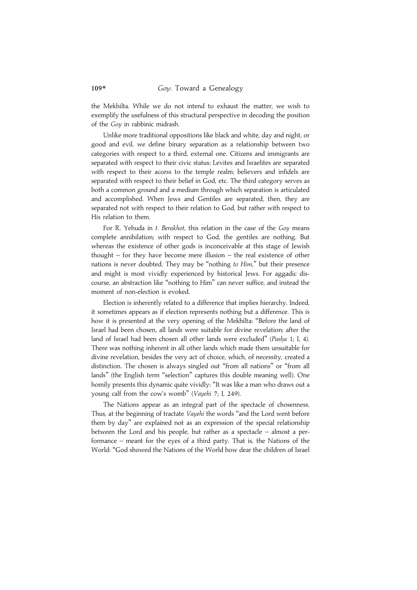the Mekhilta. While we do not intend to exhaust the matter, we wish to exemplify the usefulness of this structural perspective in decoding the position of the Goy in rabbinic midrash.

Unlike more traditional oppositions like black and white, day and night, or good and evil, we define binary separation as a relationship between two categories with respect to a third, external one. Citizens and immigrants are separated with respect to their civic status; Levites and Israelites are separated with respect to their access to the temple realm; believers and infidels are separated with respect to their belief in God, etc. The third category serves as both a common ground and a medium through which separation is articulated and accomplished. When Jews and Gentiles are separated, then, they are separated not with respect to their relation to God, but rather with respect to His relation to them.

For R. Yehuda in t. Berakhot, this relation in the case of the Goy means complete annihilation; with respect to God, the gentiles are nothing. But whereas the existence of other gods is inconceivable at this stage of Jewish thought – for they have become mere illusion – the real existence of other nations is never doubted. They may be "nothing to Him," but their presence and might is most vividly experienced by historical Jews. For aggadic discourse, an abstraction like ''nothing to Him'' can never suffice, and instead the moment of non-election is evoked.

Election is inherently related to a difference that implies hierarchy. Indeed, it sometimes appears as if election represents nothing but a difference. This is how it is presented at the very opening of the Mekhilta: ''Before the land of Israel had been chosen, all lands were suitable for divine revelation; after the land of Israel had been chosen all other lands were excluded" (Pasha 1; I, 4). There was nothing inherent in all other lands which made them unsuitable for divine revelation, besides the very act of choice, which, of necessity, created a distinction. The chosen is always singled out ''from all nations'' or ''from all lands'' (the English term ''selection'' captures this double meaning well). One homily presents this dynamic quite vividly: ''It was like a man who draws out a young calf from the cow's womb'' (Vayehi 7; I, 249).

The Nations appear as an integral part of the spectacle of chosenness. Thus, at the beginning of tractate Vayehi the words "and the Lord went before them by day'' are explained not as an expression of the special relationship between the Lord and his people, but rather as a spectacle – almost a performance – meant for the eyes of a third party. That is, the Nations of the World: ''God showed the Nations of the World how dear the children of Israel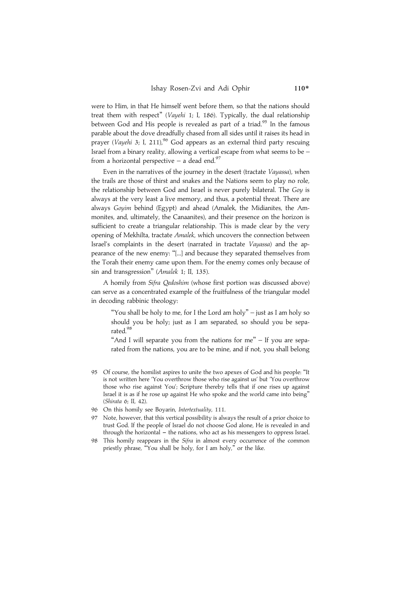were to Him, in that He himself went before them, so that the nations should treat them with respect'' (Vayehi 1; I, 186). Typically, the dual relationship between God and His people is revealed as part of a triad.<sup>95</sup> In the famous parable about the dove dreadfully chased from all sides until it raises its head in prayer (Vayehi 3; I, 211),<sup>96</sup> God appears as an external third party rescuing Israel from a binary reality, allowing a vertical escape from what seems to be – from a horizontal perspective – a dead end.<sup>97</sup>

Even in the narratives of the journey in the desert (tractate Vayassa), when the trails are those of thirst and snakes and the Nations seem to play no role, the relationship between God and Israel is never purely bilateral. The Goy is always at the very least a live memory, and thus, a potential threat. There are always Goyim behind (Egypt) and ahead (Amalek, the Midianites, the Ammonites, and, ultimately, the Canaanites), and their presence on the horizon is sufficient to create a triangular relationship. This is made clear by the very opening of Mekhilta, tractate Amalek, which uncovers the connection between Israel's complaints in the desert (narrated in tractate Vayassa) and the appearance of the new enemy: ''[...] and because they separated themselves from the Torah their enemy came upon them. For the enemy comes only because of sin and transgression'' (Amalek 1; II, 135).

A homily from Sifra Qedoshim (whose first portion was discussed above) can serve as a concentrated example of the fruitfulness of the triangular model in decoding rabbinic theology:

"You shall be holy to me, for I the Lord am holy" – just as I am holy so should you be holy; just as I am separated, so should you be separated.<sup>98</sup>

"And I will separate you from the nations for me"  $-$  If you are separated from the nations, you are to be mine, and if not, you shall belong

- 95 Of course, the homilist aspires to unite the two apexes of God and his people: ''It is not written here 'You overthrow those who rise against us' but 'You overthrow those who rise against You'; Scripture thereby tells that if one rises up against Israel it is as if he rose up against He who spoke and the world came into being'' (Shirata 6; II, 42).
- 96 On this homily see Boyarin, Intertextuality, 111.
- 97 Note, however, that this vertical possibility is always the result of a prior choice to trust God. If the people of Israel do not choose God alone, He is revealed in and through the horizontal  $-$  the nations, who act as his messengers to oppress Israel.
- 98 This homily reappears in the *Sifra* in almost every occurrence of the common priestly phrase, "You shall be holy, for I am holy," or the like.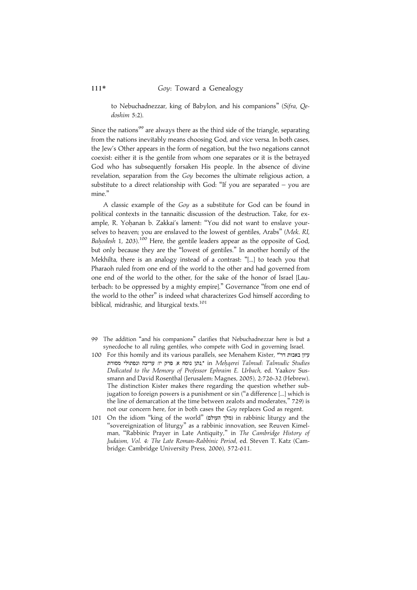to Nebuchadnezzar, king of Babylon, and his companions'' (Sifra, Qedoshim 5:2).

Since the nations<sup>99</sup> are always there as the third side of the triangle, separating from the nations inevitably means choosing God, and vice versa. In both cases, the Jew's Other appears in the form of negation, but the two negations cannot coexist: either it is the gentile from whom one separates or it is the betrayed God who has subsequently forsaken His people. In the absence of divine revelation, separation from the Goy becomes the ultimate religious action, a substitute to a direct relationship with God: ''If you are separated – you are mine.''

A classic example of the Goy as a substitute for God can be found in political contexts in the tannaitic discussion of the destruction. Take, for example, R. Yohanan b. Zakkai's lament: "You did not want to enslave yourselves to heaven; you are enslaved to the lowest of gentiles, Arabs" (Mek. RI, Bahodesh 1, 203).<sup>100</sup> Here, the gentile leaders appear as the opposite of God, but only because they are the ''lowest of gentiles.'' In another homily of the Mekhilta, there is an analogy instead of a contrast: ''[...] to teach you that Pharaoh ruled from one end of the world to the other and had governed from one end of the world to the other, for the sake of the honor of Israel [Lauterbach: to be oppressed by a mighty empire].'' Governance ''from one end of the world to the other'' is indeed what characterizes God himself according to biblical, midrashic, and liturgical texts.<sup>101</sup>

- 99 The addition ''and his companions'' clarifies that Nebuchadnezzar here is but a synecdoche to all ruling gentiles, who compete with God in governing Israel.
- 100 For this homily and its various parallels, see Menahem Kister, "עיון באבות דר נתן נוסח א, פרק יז: עריכה ונפתולי מסורת, in Mehqerei Talmud: Talmudic Studies Dedicated to the Memory of Professor Ephraim E. Urbach, ed. Yaakov Sussmann and David Rosenthal (Jerusalem: Magnes, 2005), 2:726-32 (Hebrew). The distinction Kister makes there regarding the question whether subjugation to foreign powers is a punishment or sin (''a difference [...] which is the line of demarcation at the time between zealots and moderates,'' 729) is not our concern here, for in both cases the Goy replaces God as regent.
- 101 On the idiom "king of the world" (מלך העולם) in rabbinic liturgy and the ''sovereignization of liturgy'' as a rabbinic innovation, see Reuven Kimelman, "Rabbinic Prayer in Late Antiquity," in The Cambridge History of Judaism, Vol. 4: The Late Roman-Rabbinic Period, ed. Steven T. Katz (Cambridge: Cambridge University Press, 2006), 572-611.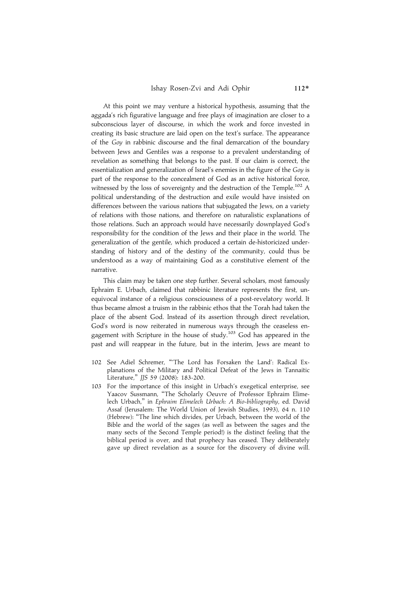At this point we may venture a historical hypothesis, assuming that the aggada's rich figurative language and free plays of imagination are closer to a subconscious layer of discourse, in which the work and force invested in creating its basic structure are laid open on the text's surface. The appearance of the Goy in rabbinic discourse and the final demarcation of the boundary between Jews and Gentiles was a response to a prevalent understanding of revelation as something that belongs to the past. If our claim is correct, the essentialization and generalization of Israel's enemies in the figure of the Goy is part of the response to the concealment of God as an active historical force, witnessed by the loss of sovereignty and the destruction of the Temple.<sup>102</sup> A political understanding of the destruction and exile would have insisted on differences between the various nations that subjugated the Jews, on a variety of relations with those nations, and therefore on naturalistic explanations of those relations. Such an approach would have necessarily downplayed God's responsibility for the condition of the Jews and their place in the world. The generalization of the gentile, which produced a certain de-historicized understanding of history and of the destiny of the community, could thus be understood as a way of maintaining God as a constitutive element of the narrative.

This claim may be taken one step further. Several scholars, most famously Ephraim E. Urbach, claimed that rabbinic literature represents the first, unequivocal instance of a religious consciousness of a post-revelatory world. It thus became almost a truism in the rabbinic ethos that the Torah had taken the place of the absent God. Instead of its assertion through direct revelation, God's word is now reiterated in numerous ways through the ceaseless engagement with Scripture in the house of study.103 God has appeared in the past and will reappear in the future, but in the interim, Jews are meant to

- 102 See Adiel Schremer, '''The Lord has Forsaken the Land': Radical Explanations of the Military and Political Defeat of the Jews in Tannaitic Literature,'' JJS 59 (2008): 183-200.
- 103 For the importance of this insight in Urbach's exegetical enterprise, see Yaacov Sussmann, ''The Scholarly Oeuvre of Professor Ephraim Elimelech Urbach,'' in Ephraim Elimelech Urbach: A Bio-bibliography, ed. David Assaf (Jerusalem: The World Union of Jewish Studies, 1993), 64 n. 110 (Hebrew): ''The line which divides, per Urbach, between the world of the Bible and the world of the sages (as well as between the sages and the many sects of the Second Temple period!) is the distinct feeling that the biblical period is over, and that prophecy has ceased. They deliberately gave up direct revelation as a source for the discovery of divine will.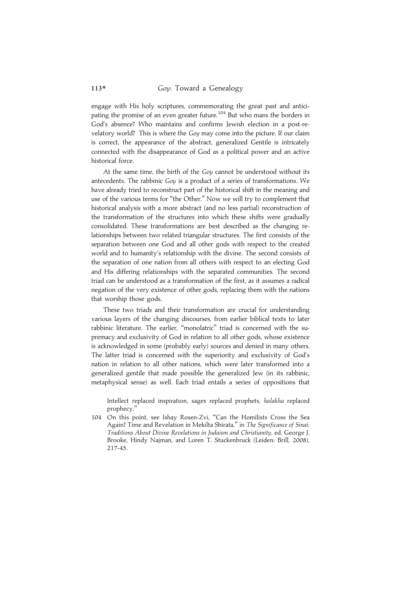engage with His holy scriptures, commemorating the great past and anticipating the promise of an even greater future.<sup>104</sup> But who mans the borders in God's absence? Who maintains and confirms Jewish election in a post-revelatory world? This is where the Goy may come into the picture. If our claim is correct, the appearance of the abstract, generalized Gentile is intricately connected with the disappearance of God as a political power and an active historical force.

At the same time, the birth of the Goy cannot be understood without its antecedents. The rabbinic Goy is a product of a series of transformations. We have already tried to reconstruct part of the historical shift in the meaning and use of the various terms for "the Other." Now we will try to complement that historical analysis with a more abstract (and no less partial) reconstruction of the transformation of the structures into which these shifts were gradually consolidated. These transformations are best described as the changing relationships between two related triangular structures. The first consists of the separation between one God and all other gods with respect to the created world and to humanity's relationship with the divine. The second consists of the separation of one nation from all others with respect to an electing God and His differing relationships with the separated communities. The second triad can be understood as a transformation of the first, as it assumes a radical negation of the very existence of other gods, replacing them with the nations that worship those gods.

These two triads and their transformation are crucial for understanding various layers of the changing discourses, from earlier biblical texts to later rabbinic literature. The earlier, ''monolatric'' triad is concerned with the supremacy and exclusivity of God in relation to all other gods, whose existence is acknowledged in some (probably early) sources and denied in many others. The latter triad is concerned with the superiority and exclusivity of God's nation in relation to all other nations, which were later transformed into a generalized gentile that made possible the generalized Jew (in its rabbinic, metaphysical sense) as well. Each triad entails a series of oppositions that

Intellect replaced inspiration, sages replaced prophets, halakha replaced prophecy.''

104 On this point, see Ishay Rosen-Zvi, ''Can the Homilists Cross the Sea Again? Time and Revelation in Mekilta Shirata," in The Significance of Sinai: Traditions About Divine Revelations in Judaism and Christianity, ed. George J. Brooke, Hindy Najman, and Loren T. Stuckenbruck (Leiden: Brill, 2008), 217-45.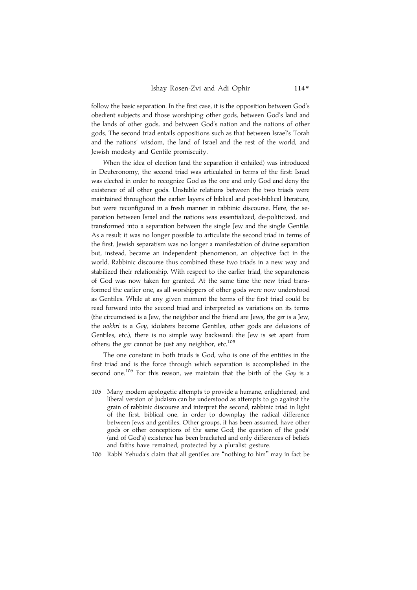follow the basic separation. In the first case, it is the opposition between God's obedient subjects and those worshiping other gods, between God's land and the lands of other gods, and between God's nation and the nations of other gods. The second triad entails oppositions such as that between Israel's Torah and the nations' wisdom, the land of Israel and the rest of the world, and Jewish modesty and Gentile promiscuity.

When the idea of election (and the separation it entailed) was introduced in Deuteronomy, the second triad was articulated in terms of the first: Israel was elected in order to recognize God as the one and only God and deny the existence of all other gods. Unstable relations between the two triads were maintained throughout the earlier layers of biblical and post-biblical literature, but were reconfigured in a fresh manner in rabbinic discourse. Here, the separation between Israel and the nations was essentialized, de-politicized, and transformed into a separation between the single Jew and the single Gentile. As a result it was no longer possible to articulate the second triad in terms of the first. Jewish separatism was no longer a manifestation of divine separation but, instead, became an independent phenomenon, an objective fact in the world. Rabbinic discourse thus combined these two triads in a new way and stabilized their relationship. With respect to the earlier triad, the separateness of God was now taken for granted. At the same time the new triad transformed the earlier one, as all worshippers of other gods were now understood as Gentiles. While at any given moment the terms of the first triad could be read forward into the second triad and interpreted as variations on its terms (the circumcised is a Jew, the neighbor and the friend are Jews, the ger is a Jew, the nokhri is a Goy, idolaters become Gentiles, other gods are delusions of Gentiles, etc.), there is no simple way backward: the Jew is set apart from others; the ger cannot be just any neighbor, etc.<sup>105</sup>

The one constant in both triads is God, who is one of the entities in the first triad and is the force through which separation is accomplished in the second one.<sup>106</sup> For this reason, we maintain that the birth of the Goy is a

- 105 Many modern apologetic attempts to provide a humane, enlightened, and liberal version of Judaism can be understood as attempts to go against the grain of rabbinic discourse and interpret the second, rabbinic triad in light of the first, biblical one, in order to downplay the radical difference between Jews and gentiles. Other groups, it has been assumed, have other gods or other conceptions of the same God; the question of the gods' (and of God's) existence has been bracketed and only differences of beliefs and faiths have remained, protected by a pluralist gesture.
- 106 Rabbi Yehuda's claim that all gentiles are ''nothing to him'' may in fact be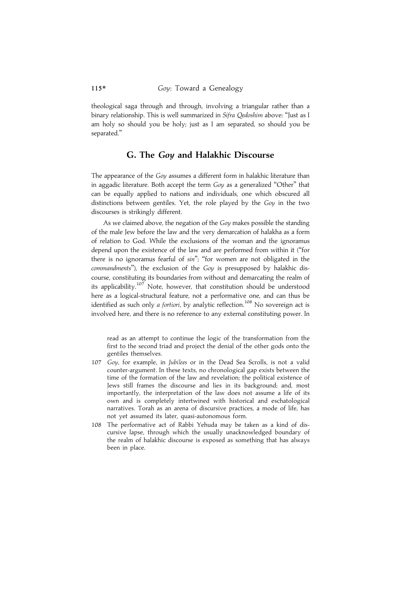theological saga through and through, involving a triangular rather than a binary relationship. This is well summarized in Sifra Qedoshim above: "Just as I am holy so should you be holy; just as I am separated, so should you be separated.''

#### G. The Goy and Halakhic Discourse

The appearance of the Goy assumes a different form in halakhic literature than in aggadic literature. Both accept the term Goy as a generalized "Other" that can be equally applied to nations and individuals, one which obscured all distinctions between gentiles. Yet, the role played by the Goy in the two discourses is strikingly different.

As we claimed above, the negation of the Goy makes possible the standing of the male Jew before the law and the very demarcation of halakha as a form of relation to God. While the exclusions of the woman and the ignoramus depend upon the existence of the law and are performed from within it (''for there is no ignoramus fearful of sin"; "for women are not obligated in the commandments"), the exclusion of the Goy is presupposed by halakhic discourse, constituting its boundaries from without and demarcating the realm of its applicability.<sup>107</sup> Note, however, that constitution should be understood here as a logical-structural feature, not a performative one, and can thus be identified as such only a fortiori, by analytic reflection.<sup>108</sup> No sovereign act is involved here, and there is no reference to any external constituting power. In

read as an attempt to continue the logic of the transformation from the first to the second triad and project the denial of the other gods onto the gentiles themselves.

- 107 Goy, for example, in Jubilees or in the Dead Sea Scrolls, is not a valid counter-argument. In these texts, no chronological gap exists between the time of the formation of the law and revelation; the political existence of Jews still frames the discourse and lies in its background; and, most importantly, the interpretation of the law does not assume a life of its own and is completely intertwined with historical and eschatological narratives. Torah as an arena of discursive practices, a mode of life, has not yet assumed its later, quasi-autonomous form.
- 108 The performative act of Rabbi Yehuda may be taken as a kind of discursive lapse, through which the usually unacknowledged boundary of the realm of halakhic discourse is exposed as something that has always been in place.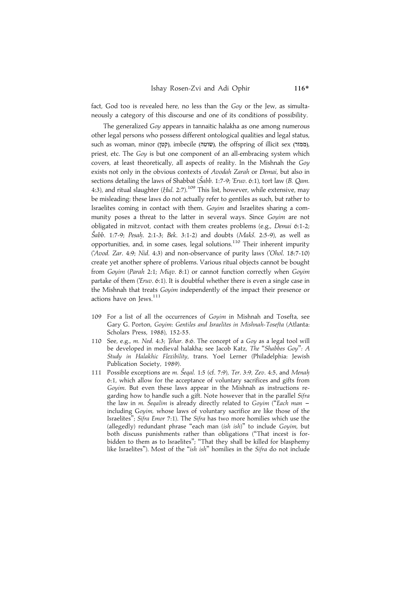fact, God too is revealed here, no less than the Goy or the Jew, as simultaneously a category of this discourse and one of its conditions of possibility.

The generalized Goy appears in tannaitic halakha as one among numerous other legal persons who possess different ontological qualities and legal status, such as woman, minor (קטן), imbecile (שוטה), the offspring of illicit sex (ממזר), priest, etc. The Goy is but one component of an all-embracing system which covers, at least theoretically, all aspects of reality. In the Mishnah the Goy exists not only in the obvious contexts of Avodah Zarah or Demai, but also in sections detailing the laws of Shabbat (Šabb. 1:7-9; 'Eruv. 6:1), tort law (B. Qam. 4:3), and ritual slaughter (*Hul.* 2:7).<sup>109</sup> This list, however, while extensive, may be misleading: these laws do not actually refer to gentiles as such, but rather to Israelites coming in contact with them. Goyim and Israelites sharing a community poses a threat to the latter in several ways. Since Goyim are not obligated in mitzvot, contact with them creates problems (e.g., Demai 6:1-2; Šabb. 1:7-9; Pesah. 2:1-3; Bek. 3:1-2) and doubts (Makš. 2:5-9), as well as opportunities, and, in some cases, legal solutions.110 Their inherent impurity ('Avod. Zar. 4:9; Nid. 4:3) and non-observance of purity laws ('Ohol. 18:7-10) create yet another sphere of problems. Various ritual objects cannot be bought from Goyim (Parah 2:1; Miqv. 8:1) or cannot function correctly when Goyim partake of them ('Eruv. 6:1). It is doubtful whether there is even a single case in the Mishnah that treats Goyim independently of the impact their presence or actions have on Jews.<sup>111</sup>

- 109 For a list of all the occurrences of Goyim in Mishnah and Tosefta, see Gary G. Porton, Goyim: Gentiles and Israelites in Mishnah-Tosefta (Atlanta: Scholars Press, 1988), 152-55.
- 110 See, e.g., m. Ned. 4:3; Tehar. 8:6. The concept of a Goy as a legal tool will be developed in medieval halakha; see Jacob Katz, The ''Shabbes Goy'': A Study in Halakhic Flexibility, trans. Yoel Lerner (Philadelphia: Jewish Publication Society, 1989).
- 111 Possible exceptions are m. Šegal. 1:5 (cf. 7:9), Ter. 3:9, Zev. 4:5, and Menah 6:1, which allow for the acceptance of voluntary sacrifices and gifts from Goyim. But even these laws appear in the Mishnah as instructions regarding how to handle such a gift. Note however that in the parallel Sifra the law in m. Seqalim is already directly related to Goyim ("Each man including Goyim, whose laws of voluntary sacrifice are like those of the Israelites''; Sifra Emor 7:1). The Sifra has two more homilies which use the (allegedly) redundant phrase ''each man (ish ish)'' to include Goyim, but both discuss punishments rather than obligations (''That incest is forbidden to them as to Israelites''; ''That they shall be killed for blasphemy like Israelites"). Most of the "ish ish" homilies in the Sifra do not include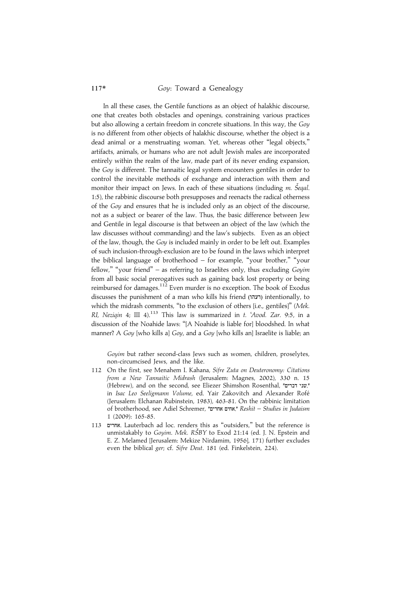In all these cases, the Gentile functions as an object of halakhic discourse, one that creates both obstacles and openings, constraining various practices but also allowing a certain freedom in concrete situations. In this way, the Goy is no different from other objects of halakhic discourse, whether the object is a dead animal or a menstruating woman. Yet, whereas other ''legal objects,'' artifacts, animals, or humans who are not adult Jewish males are incorporated entirely within the realm of the law, made part of its never ending expansion, the Goy is different. The tannaitic legal system encounters gentiles in order to control the inevitable methods of exchange and interaction with them and monitor their impact on Jews. In each of these situations (including m. Šeqal. 1:5), the rabbinic discourse both presupposes and reenacts the radical otherness of the Goy and ensures that he is included only as an object of the discourse, not as a subject or bearer of the law. Thus, the basic difference between Jew and Gentile in legal discourse is that between an object of the law (which the law discusses without commanding) and the law's subjects. Even as an object of the law, though, the Goy is included mainly in order to be left out. Examples of such inclusion-through-exclusion are to be found in the laws which interpret the biblical language of brotherhood – for example, "your brother," "your fellow," "your friend" – as referring to Israelites only, thus excluding  $Goyim$ from all basic social prerogatives such as gaining back lost property or being reimbursed for damages.<sup>112</sup> Even murder is no exception. The book of Exodus discusses the punishment of a man who kills his friend (רעהו) intentionally, to which the midrash comments, "to the exclusion of others [i.e., gentiles]" (Mek. RI, Neziqin 4; III 4).<sup>113</sup> This law is summarized in  $t$ . 'Avod. Zar. 9:5, in a discussion of the Noahide laws: ''[A Noahide is liable for] bloodshed. In what manner? A Goy [who kills a] Goy, and a Goy [who kills an] Israelite is liable; an

Goyim but rather second-class Jews such as women, children, proselytes, non-circumcised Jews, and the like.

- 112 On the first, see Menahem I. Kahana, Sifre Zuta on Deuteronomy: Citations from a New Tannaitic Midrash (Jerusalem: Magnes, 2002), 330 n. 15 (Hebrew), and on the second, see Eliezer Shimshon Rosenthal, "שני דברים", in Isac Leo Seeligmann Volume, ed. Yair Zakovitch and Alexander Rofé (Jerusalem: Elchanan Rubinstein, 1983), 463-81. On the rabbinic limitation of brotherhood, see Adiel Schremer, "אחים אחרים", Reshit – Studies in Judaism 1 (2009): 165-85.
- 113 OKZIB. Lauterbach ad loc. renders this as ''outsiders,'' but the reference is unmistakably to Goyim. Mek. RŠBY to Exod 21:14 (ed. J. N. Epstein and E. Z. Melamed [Jerusalem: Mekize Nirdamim, 1956], 171) further excludes even the biblical ger; cf. Sifre Deut. 181 (ed. Finkelstein, 224).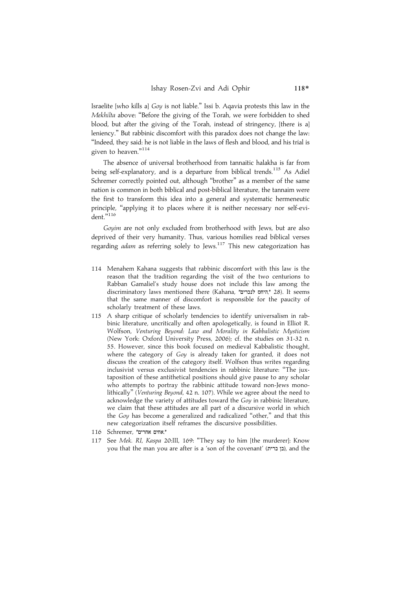Israelite [who kills a] Goy is not liable.'' Issi b. Aqavia protests this law in the Mekhilta above: ''Before the giving of the Torah, we were forbidden to shed blood, but after the giving of the Torah, instead of stringency, [there is a] leniency.'' But rabbinic discomfort with this paradox does not change the law: ''Indeed, they said: he is not liable in the laws of flesh and blood, and his trial is given to heaven."<sup>114</sup>

The absence of universal brotherhood from tannaitic halakha is far from being self-explanatory, and is a departure from biblical trends.<sup>115</sup> As Adiel Schremer correctly pointed out, although "brother" as a member of the same nation is common in both biblical and post-biblical literature, the tannaim were the first to transform this idea into a general and systematic hermeneutic principle, "applying it to places where it is neither necessary nor self-evident."<sup>116</sup>

Goyim are not only excluded from brotherhood with Jews, but are also deprived of their very humanity. Thus, various homilies read biblical verses regarding adam as referring solely to Jews.<sup>117</sup> This new categorization has

- 114 Menahem Kahana suggests that rabbinic discomfort with this law is the reason that the tradition regarding the visit of the two centurions to Rabban Gamaliel's study house does not include this law among the discriminatory laws mentioned there (Kahana, "היחס לנכרים, 28). It seems that the same manner of discomfort is responsible for the paucity of scholarly treatment of these laws.
- 115 A sharp critique of scholarly tendencies to identify universalism in rabbinic literature, uncritically and often apologetically, is found in Elliot R. Wolfson, Venturing Beyond: Law and Morality in Kabbalistic Mysticism (New York: Oxford University Press, 2006); cf. the studies on 31-32 n. 55. However, since this book focused on medieval Kabbalistic thought, where the category of Goy is already taken for granted, it does not discuss the creation of the category itself. Wolfson thus writes regarding inclusivist versus exclusivist tendencies in rabbinic literature: ''The juxtaposition of these antithetical positions should give pause to any scholar who attempts to portray the rabbinic attitude toward non-Jews monolithically'' (Venturing Beyond, 42 n. 107). While we agree about the need to acknowledge the variety of attitudes toward the Goy in rabbinic literature, we claim that these attitudes are all part of a discursive world in which the Goy has become a generalized and radicalized ''other,'' and that this new categorization itself reframes the discursive possibilities.
- 116 Schremer, "אחים אחרים".
- 117 See Mek. RI, Kaspa 20:III, 169: "They say to him [the murderer]: Know you that the man you are after is a 'son of the covenant' (בן ברית), and the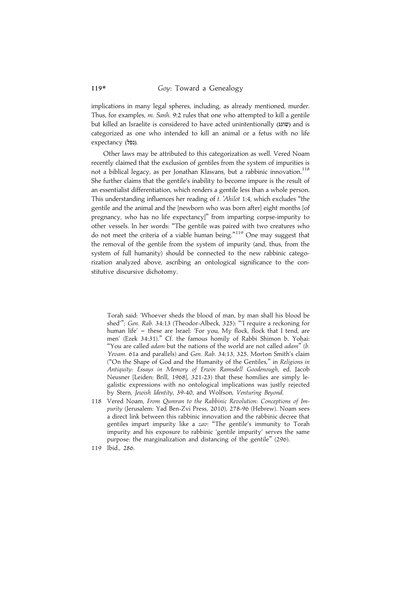implications in many legal spheres, including, as already mentioned, murder. Thus, for examples, m. Sanh. 9:2 rules that one who attempted to kill a gentile but killed an Israelite is considered to have acted unintentionally (שוגג) and is categorized as one who intended to kill an animal or a fetus with no life expectancy (נפל).

Other laws may be attributed to this categorization as well. Vered Noam recently claimed that the exclusion of gentiles from the system of impurities is not a biblical legacy, as per Jonathan Klawans, but a rabbinic innovation.<sup>118</sup> She further claims that the gentile's inability to become impure is the result of an essentialist differentiation, which renders a gentile less than a whole person. This understanding influences her reading of t. 'Ahilot 1:4, which excludes ''the gentile and the animal and the [newborn who was born after] eight months [of pregnancy, who has no life expectancy]'' from imparting corpse-impurity to other vessels. In her words: ''The gentile was paired with two creatures who do not meet the criteria of a viable human being."<sup>119</sup> One may suggest that the removal of the gentile from the system of impurity (and, thus, from the system of full humanity) should be connected to the new rabbinic categorization analyzed above, ascribing an ontological significance to the constitutive discursive dichotomy.

Torah said: 'Whoever sheds the blood of man, by man shall his blood be shed'''; Gen. Rab. 34:13 (Theodor-Albeck, 325): '''I require a reckoning for human life' - these are Israel: 'For you, My flock, flock that I tend, are men' (Ezek 34:31)." Cf. the famous homily of Rabbi Shimon b. Yohai: "You are called *adam* but the nations of the world are not called *adam*" (b. Yevam. 61a and parallels) and Gen. Rab. 34:13, 325. Morton Smith's claim (''On the Shape of God and the Humanity of the Gentiles,'' in Religions in Antiquity: Essays in Memory of Erwin Ramsdell Goodenough, ed. Jacob Neusner [Leiden: Brill, 1968], 321-23) that these homilies are simply legalistic expressions with no ontological implications was justly rejected by Stern, Jewish Identity, 39-40, and Wolfson, Venturing Beyond.

- 118 Vered Noam, From Qumran to the Rabbinic Revolution: Conceptions of Impurity (Jerusalem: Yad Ben-Zvi Press, 2010), 278-96 (Hebrew). Noam sees a direct link between this rabbinic innovation and the rabbinic decree that gentiles impart impurity like a zav: "The gentile's immunity to Torah impurity and his exposure to rabbinic 'gentile impurity' serves the same purpose: the marginalization and distancing of the gentile'' (296).
- 119 Ibid., 286.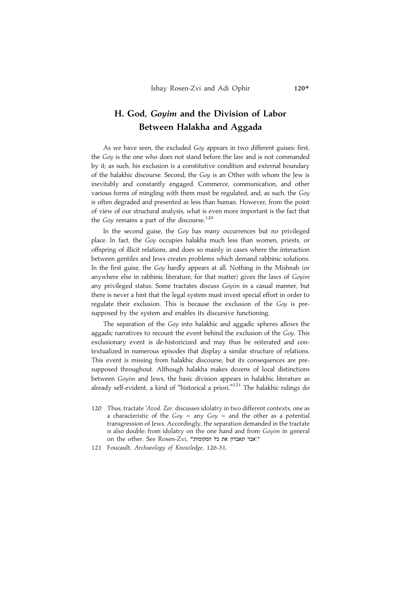## H. God, Goyim and the Division of Labor Between Halakha and Aggada

As we have seen, the excluded Goy appears in two different guises: first, the Goy is the one who does not stand before the law and is not commanded by it; as such, his exclusion is a constitutive condition and external boundary of the halakhic discourse. Second, the Goy is an Other with whom the Jew is inevitably and constantly engaged. Commerce, communication, and other various forms of mingling with them must be regulated, and, as such, the Goy is often degraded and presented as less than human. However, from the point of view of our structural analysis, what is even more important is the fact that the Goy remains a part of the discourse.<sup>120</sup>

In the second guise, the Goy has many occurrences but no privileged place. In fact, the Goy occupies halakha much less than women, priests, or offspring of illicit relations, and does so mainly in cases where the interaction between gentiles and Jews creates problems which demand rabbinic solutions. In the first guise, the Goy hardly appears at all. Nothing in the Mishnah (or anywhere else in rabbinic literature, for that matter) gives the laws of Goyim any privileged status. Some tractates discuss Goyim in a casual manner, but there is never a hint that the legal system must invest special effort in order to regulate their exclusion. This is because the exclusion of the Goy is presupposed by the system and enables its discursive functioning.

The separation of the Goy into halakhic and aggadic spheres allows the aggadic narratives to recount the event behind the exclusion of the Goy. This exclusionary event is de-historicized and may thus be reiterated and contextualized in numerous episodes that display a similar structure of relations. This event is missing from halakhic discourse, but its consequences are presupposed throughout. Although halakha makes dozens of local distinctions between Goyim and Jews, the basic division appears in halakhic literature as already self-evident, a kind of "historical a priori."<sup>121</sup> The halakhic rulings do

- 120 Thus, tractate 'Avod. Zar. discusses idolatry in two different contexts, one as a characteristic of the  $Goy - any Goy - and the other as a potential$ transgression of Jews. Accordingly, the separation demanded in the tractate is also double: from idolatry on the one hand and from Goyim in general on the other. See Rosen-Zvi, "'אבד תאבדוו את כל המקומות'".
- 121 Foucault, Archaeology of Knowledge, 126-31.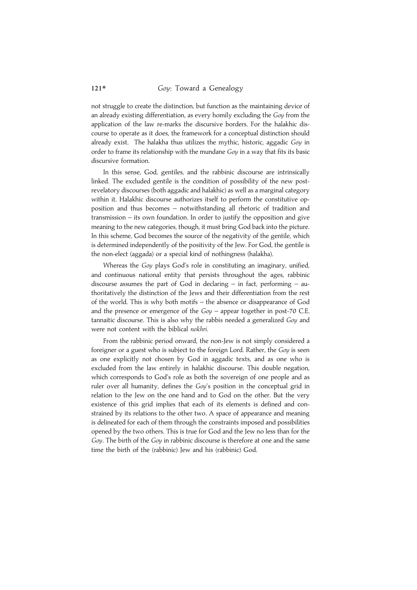not struggle to create the distinction, but function as the maintaining device of an already existing differentiation, as every homily excluding the Goy from the application of the law re-marks the discursive borders. For the halakhic discourse to operate as it does, the framework for a conceptual distinction should already exist. The halakha thus utilizes the mythic, historic, aggadic Goy in order to frame its relationship with the mundane Goy in a way that fits its basic discursive formation.

In this sense, God, gentiles, and the rabbinic discourse are intrinsically linked. The excluded gentile is the condition of possibility of the new postrevelatory discourses (both aggadic and halakhic) as well as a marginal category within it. Halakhic discourse authorizes itself to perform the constitutive opposition and thus becomes – notwithstanding all rhetoric of tradition and transmission – its own foundation. In order to justify the opposition and give meaning to the new categories, though, it must bring God back into the picture. In this scheme, God becomes the source of the negativity of the gentile, which is determined independently of the positivity of the Jew. For God, the gentile is the non-elect (aggada) or a special kind of nothingness (halakha).

Whereas the Goy plays God's role in constituting an imaginary, unified, and continuous national entity that persists throughout the ages, rabbinic discourse assumes the part of God in declaring – in fact, performing – authoritatively the distinction of the Jews and their differentiation from the rest of the world. This is why both motifs – the absence or disappearance of God and the presence or emergence of the  $Goy$  – appear together in post-70 C.E. tannaitic discourse. This is also why the rabbis needed a generalized Goy and were not content with the biblical nokhri.

From the rabbinic period onward, the non-Jew is not simply considered a foreigner or a guest who is subject to the foreign Lord. Rather, the Goy is seen as one explicitly not chosen by God in aggadic texts, and as one who is excluded from the law entirely in halakhic discourse. This double negation, which corresponds to God's role as both the sovereign of one people and as ruler over all humanity, defines the Goy's position in the conceptual grid in relation to the Jew on the one hand and to God on the other. But the very existence of this grid implies that each of its elements is defined and constrained by its relations to the other two. A space of appearance and meaning is delineated for each of them through the constraints imposed and possibilities opened by the two others. This is true for God and the Jew no less than for the Goy. The birth of the Goy in rabbinic discourse is therefore at one and the same time the birth of the (rabbinic) Jew and his (rabbinic) God.